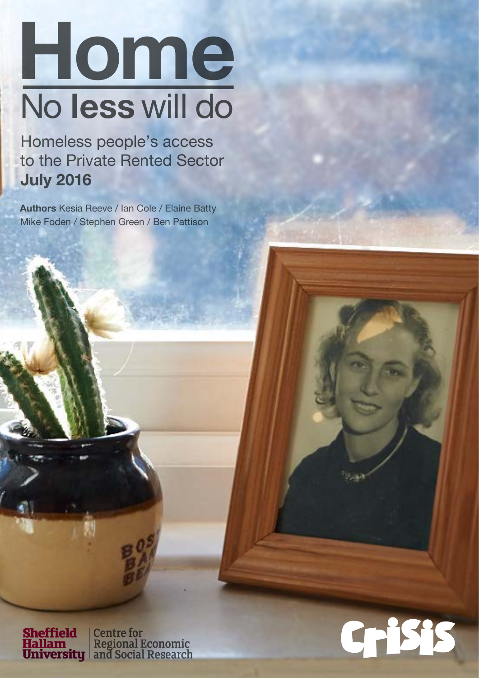# Home No less will do

Homeless people's access to the Private Rented Sector July 2016

Authors Kesia Reeve / Ian Cole / Elaine Batty Mike Foden / Stephen Green / Ben Pattison

**Sheffield | Centre for<br>
Hallam | Regional Economic<br>
University | and Social Research** 

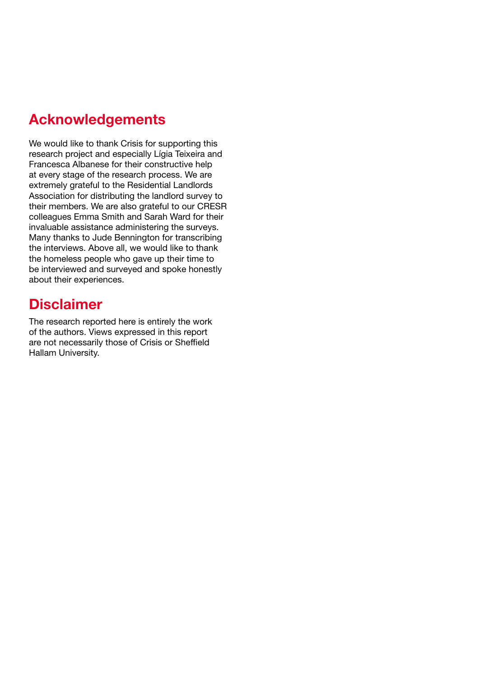# Acknowledgements

We would like to thank Crisis for supporting this research project and especially Lígia Teixeira and Francesca Albanese for their constructive help at every stage of the research process. We are extremely grateful to the Residential Landlords Association for distributing the landlord survey to their members. We are also grateful to our CRESR colleagues Emma Smith and Sarah Ward for their invaluable assistance administering the surveys. Many thanks to Jude Bennington for transcribing the interviews. Above all, we would like to thank the homeless people who gave up their time to be interviewed and surveyed and spoke honestly about their experiences.

# **Disclaimer**

The research reported here is entirely the work of the authors. Views expressed in this report are not necessarily those of Crisis or Sheffield Hallam University.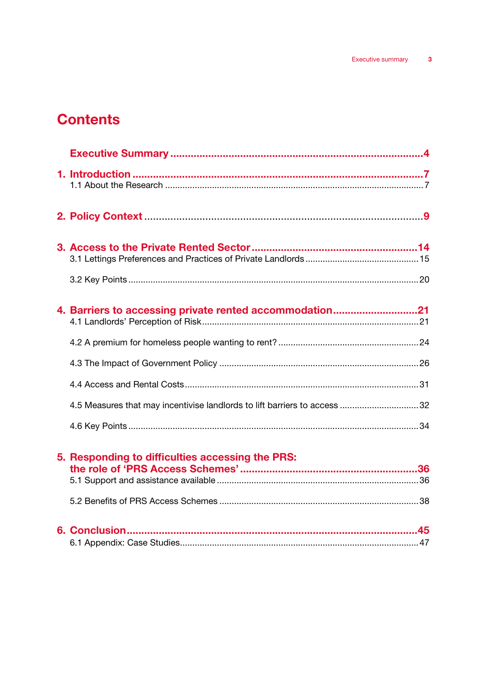# **Contents**

| 4. Barriers to accessing private rented accommodation21                   |  |
|---------------------------------------------------------------------------|--|
|                                                                           |  |
|                                                                           |  |
|                                                                           |  |
| 4.5 Measures that may incentivise landlords to lift barriers to access 32 |  |
|                                                                           |  |
| 5. Responding to difficulties accessing the PRS:                          |  |
|                                                                           |  |
|                                                                           |  |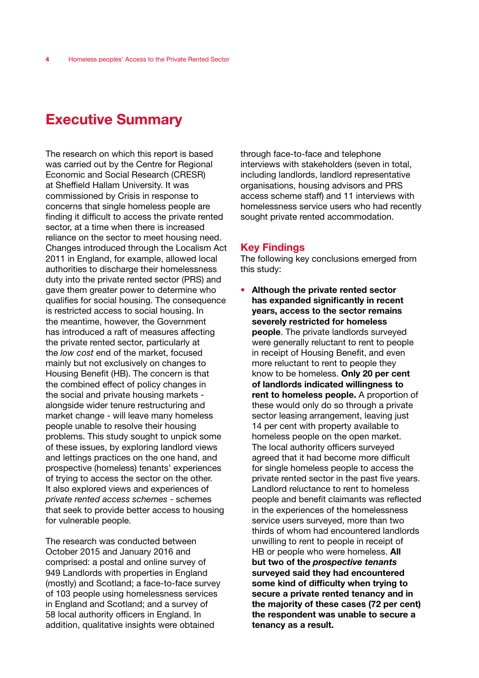# Executive Summary

The research on which this report is based was carried out by the Centre for Regional Economic and Social Research (CRESR) at Sheffield Hallam University. It was commissioned by Crisis in response to concerns that single homeless people are finding it difficult to access the private rented sector, at a time when there is increased reliance on the sector to meet housing need. Changes introduced through the Localism Act 2011 in England, for example, allowed local authorities to discharge their homelessness duty into the private rented sector (PRS) and gave them greater power to determine who qualifies for social housing. The consequence is restricted access to social housing. In the meantime, however, the Government has introduced a raft of measures affecting the private rented sector, particularly at the *low cost* end of the market, focused mainly but not exclusively on changes to Housing Benefit (HB). The concern is that the combined effect of policy changes in the social and private housing markets alongside wider tenure restructuring and market change - will leave many homeless people unable to resolve their housing problems. This study sought to unpick some of these issues, by exploring landlord views and lettings practices on the one hand, and prospective (homeless) tenants' experiences of trying to access the sector on the other. It also explored views and experiences of *private rented access schemes* - schemes that seek to provide better access to housing for vulnerable people.

The research was conducted between October 2015 and January 2016 and comprised: a postal and online survey of 949 Landlords with properties in England (mostly) and Scotland; a face-to-face survey of 103 people using homelessness services in England and Scotland; and a survey of 58 local authority officers in England. In addition, qualitative insights were obtained

through face-to-face and telephone interviews with stakeholders (seven in total, including landlords, landlord representative organisations, housing advisors and PRS access scheme staff) and 11 interviews with homelessness service users who had recently sought private rented accommodation.

## Key Findings

The following key conclusions emerged from this study:

• Although the private rented sector has expanded significantly in recent years, access to the sector remains severely restricted for homeless people. The private landlords surveyed were generally reluctant to rent to people in receipt of Housing Benefit, and even more reluctant to rent to people they know to be homeless. Only 20 per cent of landlords indicated willingness to rent to homeless people. A proportion of these would only do so through a private sector leasing arrangement, leaving just 14 per cent with property available to homeless people on the open market. The local authority officers surveyed agreed that it had become more difficult for single homeless people to access the private rented sector in the past five years. Landlord reluctance to rent to homeless people and benefit claimants was reflected in the experiences of the homelessness service users surveyed, more than two thirds of whom had encountered landlords unwilling to rent to people in receipt of HB or people who were homeless. All but two of the *prospective tenants* surveyed said they had encountered some kind of difficulty when trying to secure a private rented tenancy and in the majority of these cases (72 per cent) the respondent was unable to secure a tenancy as a result.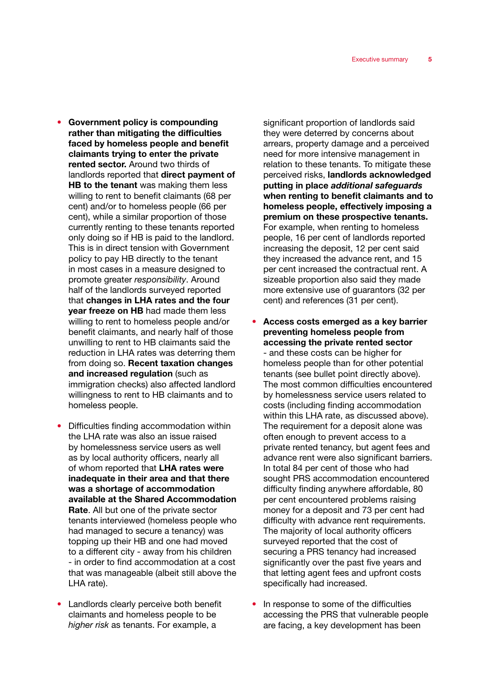- Government policy is compounding rather than mitigating the difficulties faced by homeless people and benefit claimants trying to enter the private rented sector. Around two thirds of landlords reported that direct payment of HB to the tenant was making them less willing to rent to benefit claimants (68 per cent) and/or to homeless people (66 per cent), while a similar proportion of those currently renting to these tenants reported only doing so if HB is paid to the landlord. This is in direct tension with Government policy to pay HB directly to the tenant in most cases in a measure designed to promote greater *responsibility*. Around half of the landlords surveyed reported that changes in LHA rates and the four **vear freeze on HB** had made them less willing to rent to homeless people and/or benefit claimants, and nearly half of those unwilling to rent to HB claimants said the reduction in LHA rates was deterring them from doing so. Recent taxation changes and increased regulation (such as immigration checks) also affected landlord willingness to rent to HB claimants and to homeless people.
- Difficulties finding accommodation within the LHA rate was also an issue raised by homelessness service users as well as by local authority officers, nearly all of whom reported that LHA rates were inadequate in their area and that there was a shortage of accommodation available at the Shared Accommodation Rate. All but one of the private sector tenants interviewed (homeless people who had managed to secure a tenancy) was topping up their HB and one had moved to a different city - away from his children - in order to find accommodation at a cost that was manageable (albeit still above the LHA rate).
- Landlords clearly perceive both benefit claimants and homeless people to be *higher risk* as tenants. For example, a

significant proportion of landlords said they were deterred by concerns about arrears, property damage and a perceived need for more intensive management in relation to these tenants. To mitigate these perceived risks, landlords acknowledged putting in place *additional safeguards* when renting to benefit claimants and to homeless people, effectively imposing a premium on these prospective tenants. For example, when renting to homeless people, 16 per cent of landlords reported increasing the deposit, 12 per cent said they increased the advance rent, and 15 per cent increased the contractual rent. A sizeable proportion also said they made more extensive use of guarantors (32 per cent) and references (31 per cent).

- Access costs emerged as a key barrier preventing homeless people from accessing the private rented sector - and these costs can be higher for homeless people than for other potential tenants (see bullet point directly above). The most common difficulties encountered by homelessness service users related to costs (including finding accommodation within this LHA rate, as discussed above). The requirement for a deposit alone was often enough to prevent access to a private rented tenancy, but agent fees and advance rent were also significant barriers. In total 84 per cent of those who had sought PRS accommodation encountered difficulty finding anywhere affordable, 80 per cent encountered problems raising money for a deposit and 73 per cent had difficulty with advance rent requirements. The majority of local authority officers surveyed reported that the cost of securing a PRS tenancy had increased significantly over the past five years and that letting agent fees and upfront costs specifically had increased.
- In response to some of the difficulties accessing the PRS that vulnerable people are facing, a key development has been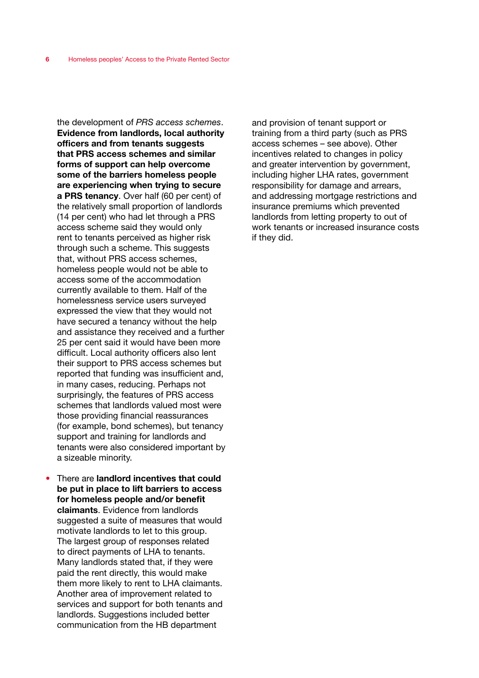the development of *PRS access schemes*. Evidence from landlords, local authority officers and from tenants suggests that PRS access schemes and similar forms of support can help overcome some of the barriers homeless people are experiencing when trying to secure a PRS tenancy. Over half (60 per cent) of the relatively small proportion of landlords (14 per cent) who had let through a PRS access scheme said they would only rent to tenants perceived as higher risk through such a scheme. This suggests that, without PRS access schemes, homeless people would not be able to access some of the accommodation currently available to them. Half of the homelessness service users surveyed expressed the view that they would not have secured a tenancy without the help and assistance they received and a further 25 per cent said it would have been more difficult. Local authority officers also lent their support to PRS access schemes but reported that funding was insufficient and, in many cases, reducing. Perhaps not surprisingly, the features of PRS access schemes that landlords valued most were those providing financial reassurances (for example, bond schemes), but tenancy support and training for landlords and tenants were also considered important by a sizeable minority.

There are landlord incentives that could be put in place to lift barriers to access for homeless people and/or benefit claimants. Evidence from landlords suggested a suite of measures that would motivate landlords to let to this group. The largest group of responses related to direct payments of LHA to tenants. Many landlords stated that, if they were paid the rent directly, this would make them more likely to rent to LHA claimants. Another area of improvement related to services and support for both tenants and landlords. Suggestions included better communication from the HB department

and provision of tenant support or training from a third party (such as PRS access schemes – see above). Other incentives related to changes in policy and greater intervention by government, including higher LHA rates, government responsibility for damage and arrears, and addressing mortgage restrictions and insurance premiums which prevented landlords from letting property to out of work tenants or increased insurance costs if they did.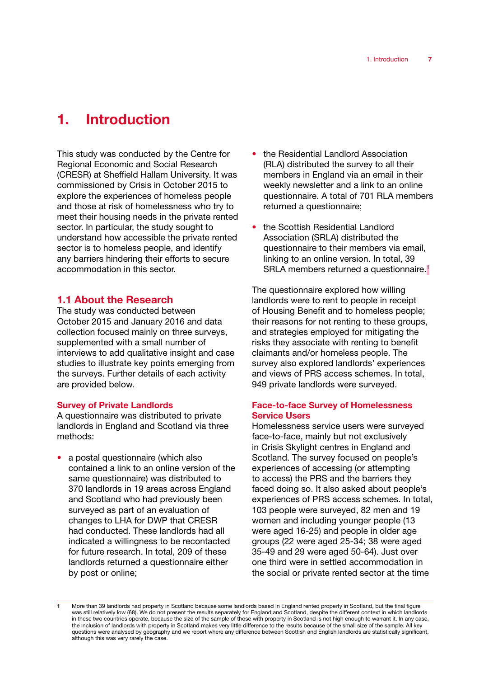# 1. Introduction

This study was conducted by the Centre for Regional Economic and Social Research (CRESR) at Sheffield Hallam University. It was commissioned by Crisis in October 2015 to explore the experiences of homeless people and those at risk of homelessness who try to meet their housing needs in the private rented sector. In particular, the study sought to understand how accessible the private rented sector is to homeless people, and identify any barriers hindering their efforts to secure accommodation in this sector.

## 1.1 About the Research

The study was conducted between October 2015 and January 2016 and data collection focused mainly on three surveys, supplemented with a small number of interviews to add qualitative insight and case studies to illustrate key points emerging from the surveys. Further details of each activity are provided below.

## Survey of Private Landlords

A questionnaire was distributed to private landlords in England and Scotland via three methods:

• a postal questionnaire (which also contained a link to an online version of the same questionnaire) was distributed to 370 landlords in 19 areas across England and Scotland who had previously been surveyed as part of an evaluation of changes to LHA for DWP that CRESR had conducted. These landlords had all indicated a willingness to be recontacted for future research. In total, 209 of these landlords returned a questionnaire either by post or online;

- the Residential Landlord Association (RLA) distributed the survey to all their members in England via an email in their weekly newsletter and a link to an online questionnaire. A total of 701 RLA members returned a questionnaire;
- the Scottish Residential Landlord Association (SRLA) distributed the questionnaire to their members via email, linking to an online version. In total, 39 SRLA members returned a questionnaire.<sup>1</sup>

The questionnaire explored how willing landlords were to rent to people in receipt of Housing Benefit and to homeless people; their reasons for not renting to these groups, and strategies employed for mitigating the risks they associate with renting to benefit claimants and/or homeless people. The survey also explored landlords' experiences and views of PRS access schemes. In total, 949 private landlords were surveyed.

## Face-to-face Survey of Homelessness Service Users

Homelessness service users were surveyed face-to-face, mainly but not exclusively in Crisis Skylight centres in England and Scotland. The survey focused on people's experiences of accessing (or attempting to access) the PRS and the barriers they faced doing so. It also asked about people's experiences of PRS access schemes. In total, 103 people were surveyed, 82 men and 19 women and including younger people (13 were aged 16-25) and people in older age groups (22 were aged 25-34; 38 were aged 35-49 and 29 were aged 50-64). Just over one third were in settled accommodation in the social or private rented sector at the time

<sup>1</sup> More than 39 landlords had property in Scotland because some landlords based in England rented property in Scotland, but the final figure was still relatively low (68). We do not present the results separately for England and Scotland, despite the different context in which landlords in these two countries operate, because the size of the sample of those with property in Scotland is not high enough to warrant it. In any case, the inclusion of landlords with property in Scotland makes very little difference to the results because of the small size of the sample. All key questions were analysed by geography and we report where any difference between Scottish and English landlords are statistically significant, although this was very rarely the case.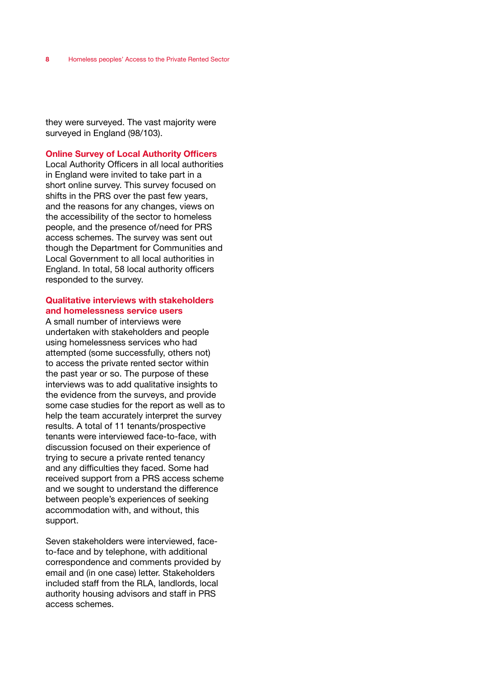they were surveyed. The vast majority were surveyed in England (98/103).

#### Online Survey of Local Authority Officers

Local Authority Officers in all local authorities in England were invited to take part in a short online survey. This survey focused on shifts in the PRS over the past few years, and the reasons for any changes, views on the accessibility of the sector to homeless people, and the presence of/need for PRS access schemes. The survey was sent out though the Department for Communities and Local Government to all local authorities in England. In total, 58 local authority officers responded to the survey.

#### Qualitative interviews with stakeholders and homelessness service users

A small number of interviews were undertaken with stakeholders and people using homelessness services who had attempted (some successfully, others not) to access the private rented sector within the past year or so. The purpose of these interviews was to add qualitative insights to the evidence from the surveys, and provide some case studies for the report as well as to help the team accurately interpret the survey results. A total of 11 tenants/prospective tenants were interviewed face-to-face, with discussion focused on their experience of trying to secure a private rented tenancy and any difficulties they faced. Some had received support from a PRS access scheme and we sought to understand the difference between people's experiences of seeking accommodation with, and without, this support.

Seven stakeholders were interviewed, faceto-face and by telephone, with additional correspondence and comments provided by email and (in one case) letter. Stakeholders included staff from the RLA, landlords, local authority housing advisors and staff in PRS access schemes.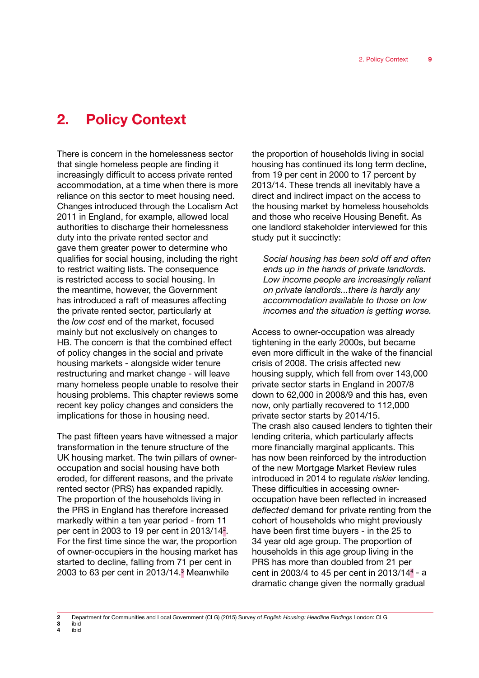# 2. Policy Context

There is concern in the homelessness sector that single homeless people are finding it increasingly difficult to access private rented accommodation, at a time when there is more reliance on this sector to meet housing need. Changes introduced through the Localism Act 2011 in England, for example, allowed local authorities to discharge their homelessness duty into the private rented sector and gave them greater power to determine who qualifies for social housing, including the right to restrict waiting lists. The consequence is restricted access to social housing. In the meantime, however, the Government has introduced a raft of measures affecting the private rented sector, particularly at the *low cost* end of the market, focused mainly but not exclusively on changes to HB. The concern is that the combined effect of policy changes in the social and private housing markets - alongside wider tenure restructuring and market change - will leave many homeless people unable to resolve their housing problems. This chapter reviews some recent key policy changes and considers the implications for those in housing need.

The past fifteen years have witnessed a major transformation in the tenure structure of the UK housing market. The twin pillars of owneroccupation and social housing have both eroded, for different reasons, and the private rented sector (PRS) has expanded rapidly. The proportion of the households living in the PRS in England has therefore increased markedly within a ten year period - from 11 per cent in 2003 to 19 per cent in 2013/14<sup>2</sup>. For the first time since the war, the proportion of owner-occupiers in the housing market has started to decline, falling from 71 per cent in 2003 to 63 per cent in 2013/14.<sup>3</sup> Meanwhile

the proportion of households living in social housing has continued its long term decline, from 19 per cent in 2000 to 17 percent by 2013/14. These trends all inevitably have a direct and indirect impact on the access to the housing market by homeless households and those who receive Housing Benefit. As one landlord stakeholder interviewed for this study put it succinctly:

*Social housing has been sold off and often ends up in the hands of private landlords. Low income people are increasingly reliant on private landlords...there is hardly any accommodation available to those on low incomes and the situation is getting worse.*

Access to owner-occupation was already tightening in the early 2000s, but became even more difficult in the wake of the financial crisis of 2008. The crisis affected new housing supply, which fell from over 143,000 private sector starts in England in 2007/8 down to 62,000 in 2008/9 and this has, even now, only partially recovered to 112,000 private sector starts by 2014/15. The crash also caused lenders to tighten their lending criteria, which particularly affects more financially marginal applicants. This has now been reinforced by the introduction of the new Mortgage Market Review rules introduced in 2014 to regulate *riskier* lending. These difficulties in accessing owneroccupation have been reflected in increased *deflected* demand for private renting from the cohort of households who might previously have been first time buyers - in the 25 to 34 year old age group. The proportion of households in this age group living in the PRS has more than doubled from 21 per cent in 2003/4 to 45 per cent in 2013/14<sup>4</sup> - a dramatic change given the normally gradual

<sup>2</sup> Department for Communities and Local Government (CLG) (2015) Survey of *English Housing: Headline Findings* London: CLG ibid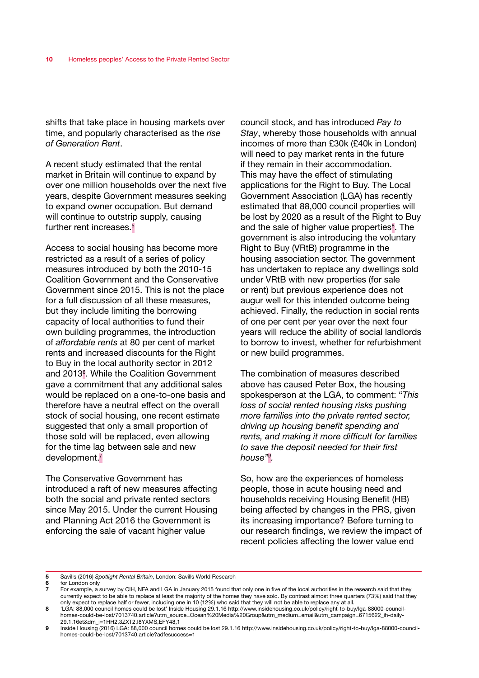shifts that take place in housing markets over time, and popularly characterised as the *rise of Generation Rent*.

A recent study estimated that the rental market in Britain will continue to expand by over one million households over the next five years, despite Government measures seeking to expand owner occupation. But demand will continue to outstrip supply, causing further rent increases.<sup>5</sup>

Access to social housing has become more restricted as a result of a series of policy measures introduced by both the 2010-15 Coalition Government and the Conservative Government since 2015. This is not the place for a full discussion of all these measures, but they include limiting the borrowing capacity of local authorities to fund their own building programmes, the introduction of *affordable rents* at 80 per cent of market rents and increased discounts for the Right to Buy in the local authority sector in 2012 and 2013<sup>6</sup>. While the Coalition Government gave a commitment that any additional sales would be replaced on a one-to-one basis and therefore have a neutral effect on the overall stock of social housing, one recent estimate suggested that only a small proportion of those sold will be replaced, even allowing for the time lag between sale and new development.7

The Conservative Government has introduced a raft of new measures affecting both the social and private rented sectors since May 2015. Under the current Housing and Planning Act 2016 the Government is enforcing the sale of vacant higher value

council stock, and has introduced *Pay to Stay*, whereby those households with annual incomes of more than £30k (£40k in London) will need to pay market rents in the future if they remain in their accommodation. This may have the effect of stimulating applications for the Right to Buy. The Local Government Association (LGA) has recently estimated that 88,000 council properties will be lost by 2020 as a result of the Right to Buy and the sale of higher value properties<sup>8</sup>. The government is also introducing the voluntary Right to Buy (VRtB) programme in the housing association sector. The government has undertaken to replace any dwellings sold under VRtB with new properties (for sale or rent) but previous experience does not augur well for this intended outcome being achieved. Finally, the reduction in social rents of one per cent per year over the next four years will reduce the ability of social landlords to borrow to invest, whether for refurbishment or new build programmes.

The combination of measures described above has caused Peter Box, the housing spokesperson at the LGA, to comment: "*This loss of social rented housing risks pushing more families into the private rented sector, driving up housing benefit spending and rents, and making it more difficult for families to save the deposit needed for their first house"9 .*

So, how are the experiences of homeless people, those in acute housing need and households receiving Housing Benefit (HB) being affected by changes in the PRS, given its increasing importance? Before turning to our research findings, we review the impact of recent policies affecting the lower value end

- 5 Savills (2016) *Spotlight Rental Britain*, London: Savills World Research
- 6 for London only<br>7 For example a

For example, a survey by CIH, NFA and LGA in January 2015 found that only one in five of the local authorities in the research said that they currently expect to be able to replace at least the majority of the homes they have sold. By contrast almost three quarters (73%) said that they only expect to replace half or fewer, including one in 10 (12%) who said that they will not be able to replace any at all.

<sup>8</sup> 'LGA: 88,000 council homes could be lost' Inside Housing 29.1.16 http://www.insidehousing.co.uk/policy/right-to-buy/lga-88000-councilhomes-could-be-lost/7013740.article?utm\_source=Ocean%20Media%20Group&utm\_medium=email&utm\_campaign=6715622\_ih-daily-29.1.16et&dm\_i=1HH2,3ZXT2,I8YXMS,EFY48,1

<sup>9</sup> Inside Housing (2016) LGA: 88,000 council homes could be lost 29.1.16 http://www.insidehousing.co.uk/policy/right-to-buy/lga-88000-councilhomes-could-be-lost/7013740.article?adfesuccess=1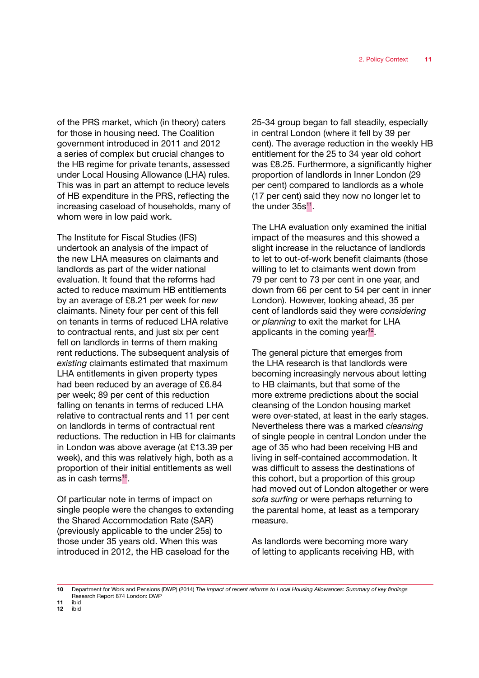of the PRS market, which (in theory) caters for those in housing need. The Coalition government introduced in 2011 and 2012 a series of complex but crucial changes to the HB regime for private tenants, assessed under Local Housing Allowance (LHA) rules. This was in part an attempt to reduce levels of HB expenditure in the PRS, reflecting the increasing caseload of households, many of whom were in low paid work.

The Institute for Fiscal Studies (IFS) undertook an analysis of the impact of the new LHA measures on claimants and landlords as part of the wider national evaluation. It found that the reforms had acted to reduce maximum HB entitlements by an average of £8.21 per week for *new* claimants. Ninety four per cent of this fell on tenants in terms of reduced LHA relative to contractual rents, and just six per cent fell on landlords in terms of them making rent reductions. The subsequent analysis of *existing* claimants estimated that maximum LHA entitlements in given property types had been reduced by an average of £6.84 per week; 89 per cent of this reduction falling on tenants in terms of reduced LHA relative to contractual rents and 11 per cent on landlords in terms of contractual rent reductions. The reduction in HB for claimants in London was above average (at £13.39 per week), and this was relatively high, both as a proportion of their initial entitlements as well as in cash terms $10$ .

Of particular note in terms of impact on single people were the changes to extending the Shared Accommodation Rate (SAR) (previously applicable to the under 25s) to those under 35 years old. When this was introduced in 2012, the HB caseload for the

25-34 group began to fall steadily, especially in central London (where it fell by 39 per cent). The average reduction in the weekly HB entitlement for the 25 to 34 year old cohort was £8.25. Furthermore, a significantly higher proportion of landlords in Inner London (29 per cent) compared to landlords as a whole (17 per cent) said they now no longer let to the under 35s<sup>11</sup>.

The LHA evaluation only examined the initial impact of the measures and this showed a slight increase in the reluctance of landlords to let to out-of-work benefit claimants (those willing to let to claimants went down from 79 per cent to 73 per cent in one year, and down from 66 per cent to 54 per cent in inner London). However, looking ahead, 35 per cent of landlords said they were *considering* or *planning* to exit the market for LHA applicants in the coming year<sup>12</sup>.

The general picture that emerges from the LHA research is that landlords were becoming increasingly nervous about letting to HB claimants, but that some of the more extreme predictions about the social cleansing of the London housing market were over-stated, at least in the early stages. Nevertheless there was a marked *cleansing* of single people in central London under the age of 35 who had been receiving HB and living in self-contained accommodation. It was difficult to assess the destinations of this cohort, but a proportion of this group had moved out of London altogether or were *sofa surfing* or were perhaps returning to the parental home, at least as a temporary measure.

As landlords were becoming more wary of letting to applicants receiving HB, with

10 Department for Work and Pensions (DWP) (2014) *The impact of recent reforms to Local Housing Allowances: Summary of key findings* Research Report 874 London: DWP

<sup>11</sup> ibid<br>12 ibid ibid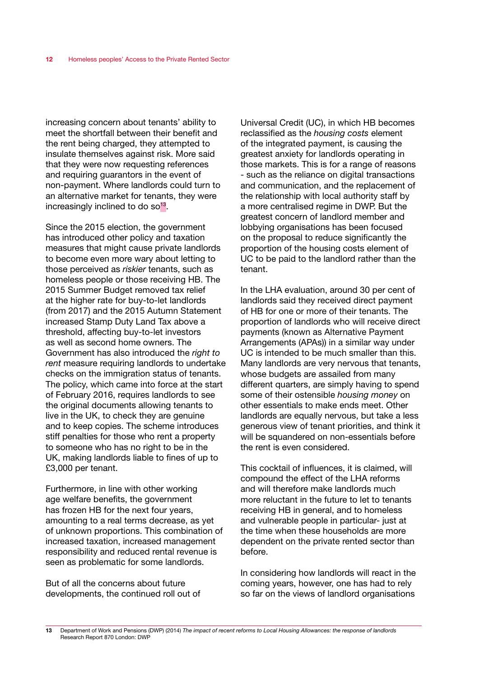increasing concern about tenants' ability to meet the shortfall between their benefit and the rent being charged, they attempted to insulate themselves against risk. More said that they were now requesting references and requiring guarantors in the event of non-payment. Where landlords could turn to an alternative market for tenants, they were increasingly inclined to do so $13$ .

Since the 2015 election, the government has introduced other policy and taxation measures that might cause private landlords to become even more wary about letting to those perceived as *riskier* tenants, such as homeless people or those receiving HB. The 2015 Summer Budget removed tax relief at the higher rate for buy-to-let landlords (from 2017) and the 2015 Autumn Statement increased Stamp Duty Land Tax above a threshold, affecting buy-to-let investors as well as second home owners. The Government has also introduced the *right to rent* measure requiring landlords to undertake checks on the immigration status of tenants. The policy, which came into force at the start of February 2016, requires landlords to see the original documents allowing tenants to live in the UK, to check they are genuine and to keep copies. The scheme introduces stiff penalties for those who rent a property to someone who has no right to be in the UK, making landlords liable to fines of up to £3,000 per tenant.

Furthermore, in line with other working age welfare benefits, the government has frozen HB for the next four years, amounting to a real terms decrease, as yet of unknown proportions. This combination of increased taxation, increased management responsibility and reduced rental revenue is seen as problematic for some landlords.

But of all the concerns about future developments, the continued roll out of

Universal Credit (UC), in which HB becomes reclassified as the *housing costs* element of the integrated payment, is causing the greatest anxiety for landlords operating in those markets. This is for a range of reasons - such as the reliance on digital transactions and communication, and the replacement of the relationship with local authority staff by a more centralised regime in DWP. But the greatest concern of landlord member and lobbying organisations has been focused on the proposal to reduce significantly the proportion of the housing costs element of UC to be paid to the landlord rather than the tenant.

In the LHA evaluation, around 30 per cent of landlords said they received direct payment of HB for one or more of their tenants. The proportion of landlords who will receive direct payments (known as Alternative Payment Arrangements (APAs)) in a similar way under UC is intended to be much smaller than this. Many landlords are very nervous that tenants, whose budgets are assailed from many different quarters, are simply having to spend some of their ostensible *housing money* on other essentials to make ends meet. Other landlords are equally nervous, but take a less generous view of tenant priorities, and think it will be squandered on non-essentials before the rent is even considered.

This cocktail of influences, it is claimed, will compound the effect of the LHA reforms and will therefore make landlords much more reluctant in the future to let to tenants receiving HB in general, and to homeless and vulnerable people in particular- just at the time when these households are more dependent on the private rented sector than before.

In considering how landlords will react in the coming years, however, one has had to rely so far on the views of landlord organisations

<sup>13</sup> Department of Work and Pensions (DWP) (2014) *The impact of recent reforms to Local Housing Allowances: the response of landlords* Research Report 870 London: DWP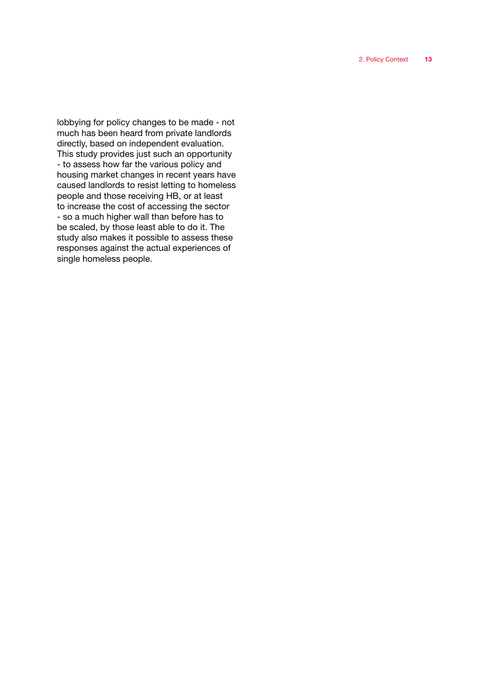lobbying for policy changes to be made - not much has been heard from private landlords directly, based on independent evaluation. This study provides just such an opportunity - to assess how far the various policy and housing market changes in recent years have caused landlords to resist letting to homeless people and those receiving HB, or at least to increase the cost of accessing the sector - so a much higher wall than before has to be scaled, by those least able to do it. The study also makes it possible to assess these responses against the actual experiences of single homeless people.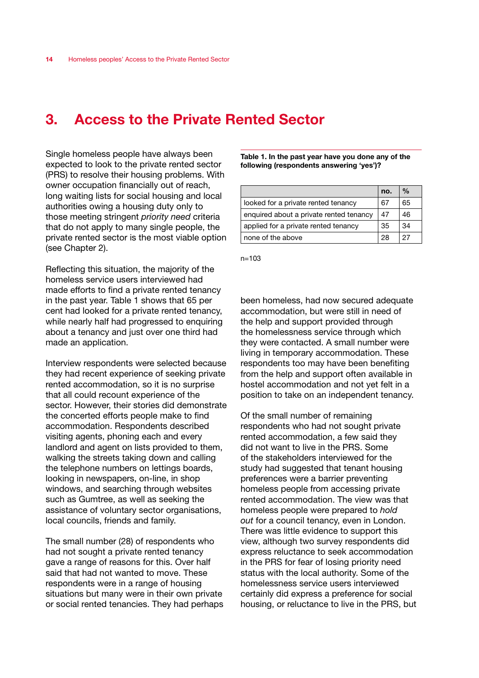# 3. Access to the Private Rented Sector

Single homeless people have always been expected to look to the private rented sector (PRS) to resolve their housing problems. With owner occupation financially out of reach, long waiting lists for social housing and local authorities owing a housing duty only to those meeting stringent *priority need* criteria that do not apply to many single people, the private rented sector is the most viable option (see Chapter 2).

Reflecting this situation, the majority of the homeless service users interviewed had made efforts to find a private rented tenancy in the past year. Table 1 shows that 65 per cent had looked for a private rented tenancy, while nearly half had progressed to enquiring about a tenancy and just over one third had made an application.

Interview respondents were selected because they had recent experience of seeking private rented accommodation, so it is no surprise that all could recount experience of the sector. However, their stories did demonstrate the concerted efforts people make to find accommodation. Respondents described visiting agents, phoning each and every landlord and agent on lists provided to them, walking the streets taking down and calling the telephone numbers on lettings boards, looking in newspapers, on-line, in shop windows, and searching through websites such as Gumtree, as well as seeking the assistance of voluntary sector organisations, local councils, friends and family.

The small number (28) of respondents who had not sought a private rented tenancy gave a range of reasons for this. Over half said that had not wanted to move. These respondents were in a range of housing situations but many were in their own private or social rented tenancies. They had perhaps

Table 1. In the past year have you done any of the following (respondents answering 'yes')?

|                                         | no. | $\frac{0}{0}$ |
|-----------------------------------------|-----|---------------|
| looked for a private rented tenancy     | 67  | 65            |
| enquired about a private rented tenancy | 47  | 46            |
| applied for a private rented tenancy    | 35  | 34            |
| none of the above                       | 28  | 27            |

n=103

been homeless, had now secured adequate accommodation, but were still in need of the help and support provided through the homelessness service through which they were contacted. A small number were living in temporary accommodation. These respondents too may have been benefiting from the help and support often available in hostel accommodation and not yet felt in a position to take on an independent tenancy.

Of the small number of remaining respondents who had not sought private rented accommodation, a few said they did not want to live in the PRS. Some of the stakeholders interviewed for the study had suggested that tenant housing preferences were a barrier preventing homeless people from accessing private rented accommodation. The view was that homeless people were prepared to *hold out* for a council tenancy, even in London. There was little evidence to support this view, although two survey respondents did express reluctance to seek accommodation in the PRS for fear of losing priority need status with the local authority. Some of the homelessness service users interviewed certainly did express a preference for social housing, or reluctance to live in the PRS, but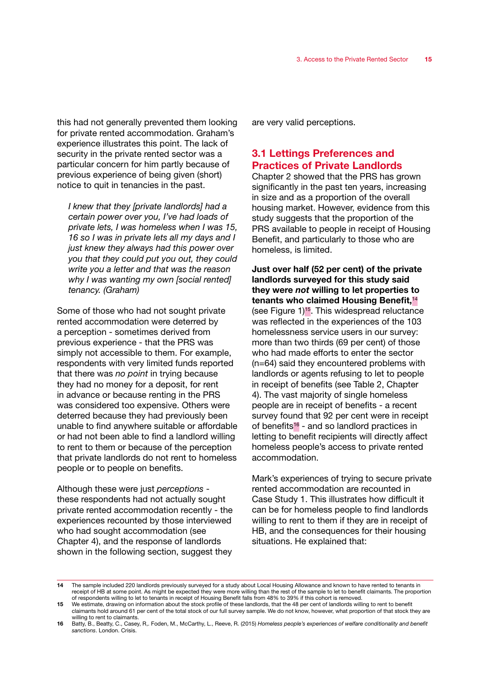this had not generally prevented them looking for private rented accommodation. Graham's experience illustrates this point. The lack of security in the private rented sector was a particular concern for him partly because of previous experience of being given (short) notice to quit in tenancies in the past.

*I knew that they [private landlords] had a certain power over you, I've had loads of private lets, I was homeless when I was 15, 16 so I was in private lets all my days and I just knew they always had this power over you that they could put you out, they could write you a letter and that was the reason why I was wanting my own [social rented] tenancy. (Graham)*

Some of those who had not sought private rented accommodation were deterred by a perception - sometimes derived from previous experience - that the PRS was simply not accessible to them. For example, respondents with very limited funds reported that there was *no point* in trying because they had no money for a deposit, for rent in advance or because renting in the PRS was considered too expensive. Others were deterred because they had previously been unable to find anywhere suitable or affordable or had not been able to find a landlord willing to rent to them or because of the perception that private landlords do not rent to homeless people or to people on benefits.

Although these were just *perceptions* these respondents had not actually sought private rented accommodation recently - the experiences recounted by those interviewed who had sought accommodation (see Chapter 4), and the response of landlords shown in the following section, suggest they

are very valid perceptions.

# 3.1 Lettings Preferences and Practices of Private Landlords

Chapter 2 showed that the PRS has grown significantly in the past ten years, increasing in size and as a proportion of the overall housing market. However, evidence from this study suggests that the proportion of the PRS available to people in receipt of Housing Benefit, and particularly to those who are homeless, is limited.

Just over half (52 per cent) of the private landlords surveyed for this study said they were *not* willing to let properties to tenants who claimed Housing Benefit,<sup>14</sup> (see Figure  $1$ )<sup>15</sup>. This widespread reluctance was reflected in the experiences of the 103 homelessness service users in our survey: more than two thirds (69 per cent) of those who had made efforts to enter the sector (n=64) said they encountered problems with landlords or agents refusing to let to people in receipt of benefits (see Table 2, Chapter 4). The vast majority of single homeless people are in receipt of benefits - a recent survey found that 92 per cent were in receipt of benefits<sup>16</sup> - and so landlord practices in letting to benefit recipients will directly affect homeless people's access to private rented accommodation.

Mark's experiences of trying to secure private rented accommodation are recounted in Case Study 1. This illustrates how difficult it can be for homeless people to find landlords willing to rent to them if they are in receipt of HB, and the consequences for their housing situations. He explained that:

<sup>14</sup> The sample included 220 landlords previously surveyed for a study about Local Housing Allowance and known to have rented to tenants in receipt of HB at some point. As might be expected they were more willing than the rest of the sample to let to benefit claimants. The proportion of respondents willing to let to tenants in receipt of Housing Benefit falls from 48% to 39% if this cohort is removed.

<sup>15</sup> We estimate, drawing on information about the stock profile of these landlords, that the 48 per cent of landlords willing to rent to benefit claimants hold around 61 per cent of the total stock of our full survey sample. We do not know, however, what proportion of that stock they are willing to rent to claimants.

<sup>16</sup> Batty, B., Beatty, C., Casey, R,. Foden, M., McCarthy, L., Reeve, R. (2015) *Homeless people's experiences of welfare conditionality and benefit sanctions*. London. Crisis.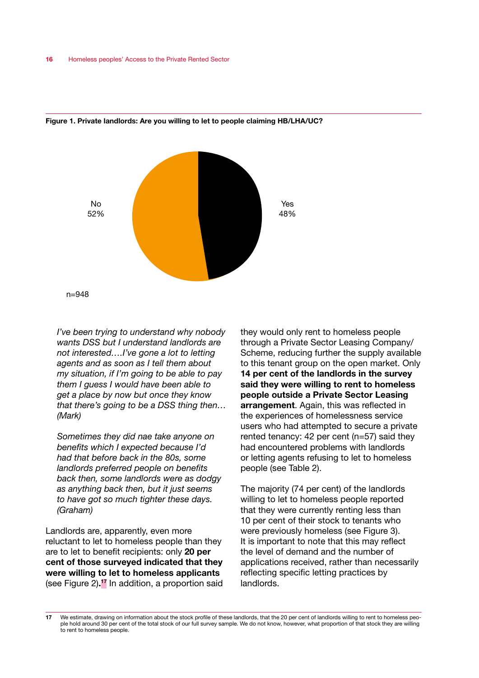



*I've been trying to understand why nobody wants DSS but I understand landlords are not interested….I've gone a lot to letting agents and as soon as I tell them about my situation, if I'm going to be able to pay them I guess I would have been able to get a place by now but once they know that there's going to be a DSS thing then…*

*(Mark)*

*Sometimes they did nae take anyone on benefits which I expected because I'd had that before back in the 80s, some landlords preferred people on benefits back then, some landlords were as dodgy as anything back then, but it just seems to have got so much tighter these days. (Graham)*

Landlords are, apparently, even more reluctant to let to homeless people than they are to let to benefit recipients: only 20 per cent of those surveyed indicated that they were willing to let to homeless applicants (see Figure 2).<sup>17</sup> In addition, a proportion said they would only rent to homeless people through a Private Sector Leasing Company/ Scheme, reducing further the supply available to this tenant group on the open market. Only 14 per cent of the landlords in the survey said they were willing to rent to homeless people outside a Private Sector Leasing arrangement. Again, this was reflected in the experiences of homelessness service users who had attempted to secure a private rented tenancy: 42 per cent (n=57) said they had encountered problems with landlords or letting agents refusing to let to homeless people (see Table 2).

The majority (74 per cent) of the landlords willing to let to homeless people reported that they were currently renting less than 10 per cent of their stock to tenants who were previously homeless (see Figure 3). It is important to note that this may reflect the level of demand and the number of applications received, rather than necessarily reflecting specific letting practices by landlords.

<sup>17</sup> We estimate, drawing on information about the stock profile of these landlords, that the 20 per cent of landlords willing to rent to homeless people hold around 30 per cent of the total stock of our full survey sample. We do not know, however, what proportion of that stock they are willing to rent to homeless people.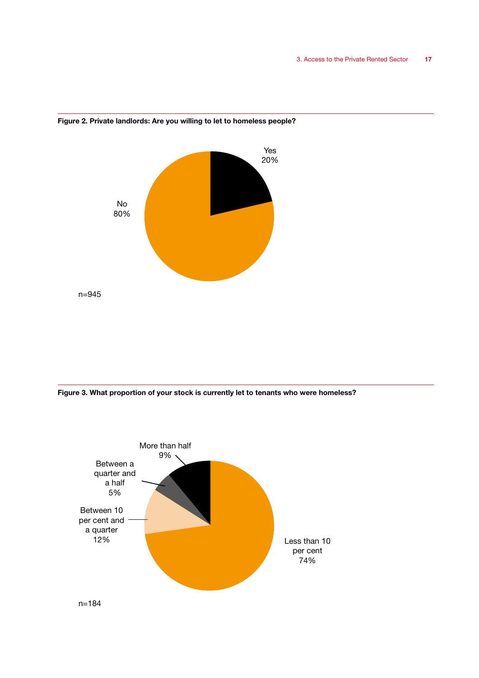

#### Figure 2. Private landlords: Are you willing to let to homeless people?

Figure 3. What proportion of your stock is currently let to tenants who were homeless?

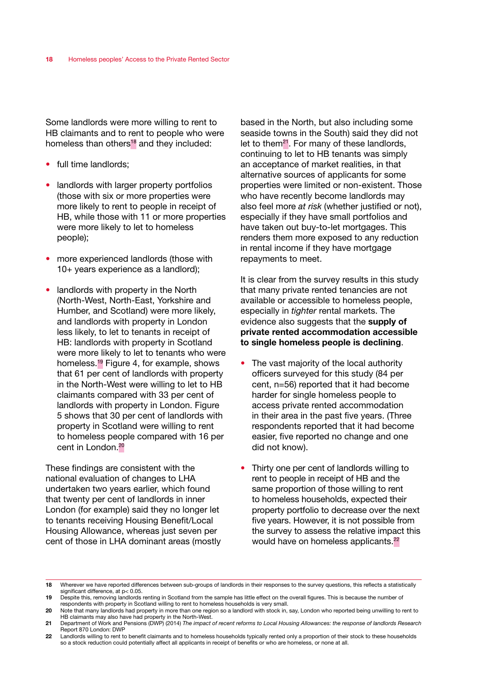Some landlords were more willing to rent to HB claimants and to rent to people who were homeless than others<sup>18</sup> and they included:

- full time landlords:
- landlords with larger property portfolios (those with six or more properties were more likely to rent to people in receipt of HB, while those with 11 or more properties were more likely to let to homeless people);
- more experienced landlords (those with 10+ years experience as a landlord);
- landlords with property in the North (North-West, North-East, Yorkshire and Humber, and Scotland) were more likely, and landlords with property in London less likely, to let to tenants in receipt of HB: landlords with property in Scotland were more likely to let to tenants who were homeless.19 Figure 4, for example, shows that 61 per cent of landlords with property in the North-West were willing to let to HB claimants compared with 33 per cent of landlords with property in London. Figure 5 shows that 30 per cent of landlords with property in Scotland were willing to rent to homeless people compared with 16 per cent in London.20

These findings are consistent with the national evaluation of changes to LHA undertaken two years earlier, which found that twenty per cent of landlords in inner London (for example) said they no longer let to tenants receiving Housing Benefit/Local Housing Allowance, whereas just seven per cent of those in LHA dominant areas (mostly

based in the North, but also including some seaside towns in the South) said they did not let to them<sup>21</sup>. For many of these landlords, continuing to let to HB tenants was simply an acceptance of market realities, in that alternative sources of applicants for some properties were limited or non-existent. Those who have recently become landlords may also feel more *at risk* (whether justified or not), especially if they have small portfolios and have taken out buy-to-let mortgages. This renders them more exposed to any reduction in rental income if they have mortgage repayments to meet.

It is clear from the survey results in this study that many private rented tenancies are not available or accessible to homeless people, especially in *tighter* rental markets. The evidence also suggests that the supply of private rented accommodation accessible to single homeless people is declining.

- The vast majority of the local authority officers surveyed for this study (84 per cent, n=56) reported that it had become harder for single homeless people to access private rented accommodation in their area in the past five years. (Three respondents reported that it had become easier, five reported no change and one did not know).
- Thirty one per cent of landlords willing to rent to people in receipt of HB and the same proportion of those willing to rent to homeless households, expected their property portfolio to decrease over the next five years. However, it is not possible from the survey to assess the relative impact this would have on homeless applicants.<sup>22</sup>

<sup>18</sup> Wherever we have reported differences between sub-groups of landlords in their responses to the survey questions, this reflects a statistically significant difference, at  $p < 0.05$ .

<sup>19</sup> Despite this, removing landlords renting in Scotland from the sample has little effect on the overall figures. This is because the number of respondents with property in Scotland willing to rent to homeless households is very small.

<sup>20</sup> Note that many landlords had property in more than one region so a landlord with stock in, say, London who reported being unwilling to rent to HB claimants may also have had property in the North-West.

<sup>21</sup> Department of Work and Pensions (DWP) (2014) *The impact of recent reforms to Local Housing Allowances: the response of landlords Research* Report 870 London: DWP

<sup>22</sup> Landlords willing to rent to benefit claimants and to homeless households typically rented only a proportion of their stock to these households so a stock reduction could potentially affect all applicants in receipt of benefits or who are homeless, or none at all.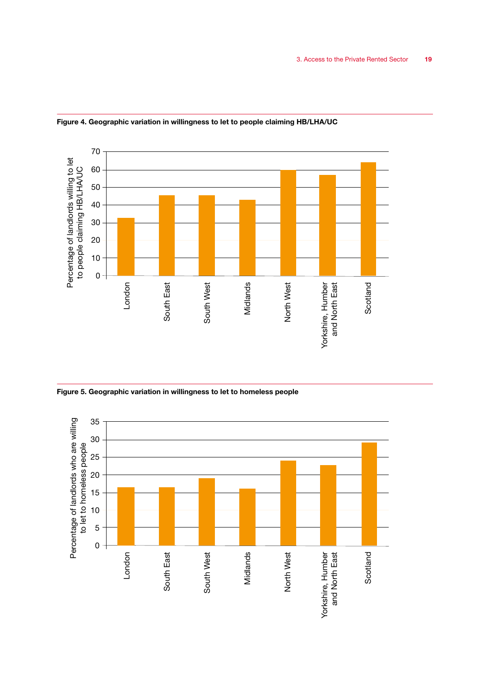

Figure 4. Geographic variation in willingness to let to people claiming HB/LHA/UC

Figure 5. Geographic variation in willingness to let to homeless people

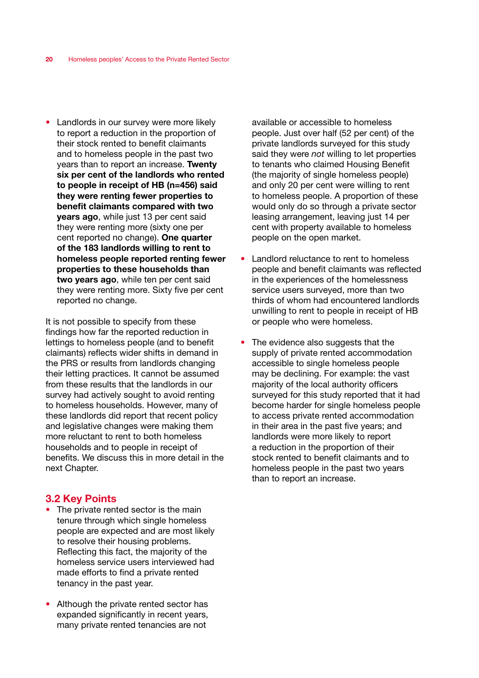• Landlords in our survey were more likely to report a reduction in the proportion of their stock rented to benefit claimants and to homeless people in the past two years than to report an increase. Twenty six per cent of the landlords who rented to people in receipt of HB (n=456) said they were renting fewer properties to benefit claimants compared with two years ago, while just 13 per cent said they were renting more (sixty one per cent reported no change). One quarter of the 183 landlords willing to rent to homeless people reported renting fewer properties to these households than two years ago, while ten per cent said they were renting more. Sixty five per cent reported no change.

It is not possible to specify from these findings how far the reported reduction in lettings to homeless people (and to benefit claimants) reflects wider shifts in demand in the PRS or results from landlords changing their letting practices. It cannot be assumed from these results that the landlords in our survey had actively sought to avoid renting to homeless households. However, many of these landlords did report that recent policy and legislative changes were making them more reluctant to rent to both homeless households and to people in receipt of benefits. We discuss this in more detail in the next Chapter.

## 3.2 Key Points

- The private rented sector is the main tenure through which single homeless people are expected and are most likely to resolve their housing problems. Reflecting this fact, the majority of the homeless service users interviewed had made efforts to find a private rented tenancy in the past year.
- Although the private rented sector has expanded significantly in recent years, many private rented tenancies are not

available or accessible to homeless people. Just over half (52 per cent) of the private landlords surveyed for this study said they were *not* willing to let properties to tenants who claimed Housing Benefit (the majority of single homeless people) and only 20 per cent were willing to rent to homeless people. A proportion of these would only do so through a private sector leasing arrangement, leaving just 14 per cent with property available to homeless people on the open market.

- Landlord reluctance to rent to homeless people and benefit claimants was reflected in the experiences of the homelessness service users surveyed, more than two thirds of whom had encountered landlords unwilling to rent to people in receipt of HB or people who were homeless.
- The evidence also suggests that the supply of private rented accommodation accessible to single homeless people may be declining. For example: the vast majority of the local authority officers surveyed for this study reported that it had become harder for single homeless people to access private rented accommodation in their area in the past five years; and landlords were more likely to report a reduction in the proportion of their stock rented to benefit claimants and to homeless people in the past two years than to report an increase.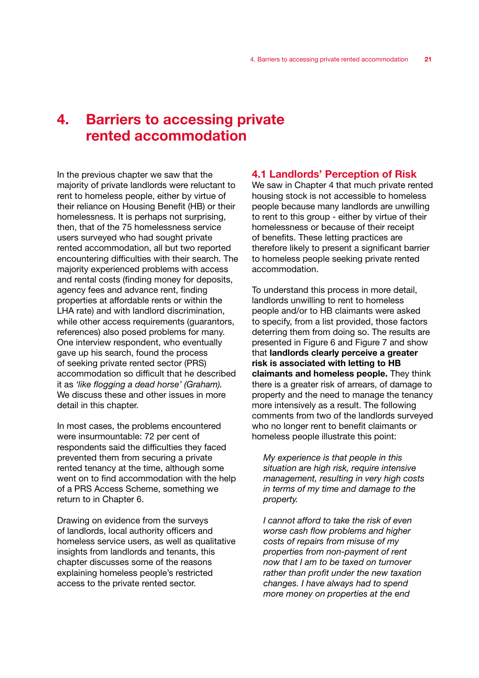# 4. Barriers to accessing private rented accommodation

In the previous chapter we saw that the majority of private landlords were reluctant to rent to homeless people, either by virtue of their reliance on Housing Benefit (HB) or their homelessness. It is perhaps not surprising, then, that of the 75 homelessness service users surveyed who had sought private rented accommodation, all but two reported encountering difficulties with their search. The majority experienced problems with access and rental costs (finding money for deposits, agency fees and advance rent, finding properties at affordable rents or within the LHA rate) and with landlord discrimination, while other access requirements (guarantors, references) also posed problems for many. One interview respondent, who eventually gave up his search, found the process of seeking private rented sector (PRS) accommodation so difficult that he described it as *'like flogging a dead horse' (Graham).*  We discuss these and other issues in more detail in this chapter.

In most cases, the problems encountered were insurmountable: 72 per cent of respondents said the difficulties they faced prevented them from securing a private rented tenancy at the time, although some went on to find accommodation with the help of a PRS Access Scheme, something we return to in Chapter 6.

Drawing on evidence from the surveys of landlords, local authority officers and homeless service users, as well as qualitative insights from landlords and tenants, this chapter discusses some of the reasons explaining homeless people's restricted access to the private rented sector.

## 4.1 Landlords' Perception of Risk

We saw in Chapter 4 that much private rented housing stock is not accessible to homeless people because many landlords are unwilling to rent to this group - either by virtue of their homelessness or because of their receipt of benefits. These letting practices are therefore likely to present a significant barrier to homeless people seeking private rented accommodation.

To understand this process in more detail, landlords unwilling to rent to homeless people and/or to HB claimants were asked to specify, from a list provided, those factors deterring them from doing so. The results are presented in Figure 6 and Figure 7 and show that landlords clearly perceive a greater risk is associated with letting to HB claimants and homeless people. They think there is a greater risk of arrears, of damage to property and the need to manage the tenancy more intensively as a result. The following comments from two of the landlords surveyed who no longer rent to benefit claimants or homeless people illustrate this point:

*My experience is that people in this situation are high risk, require intensive management, resulting in very high costs in terms of my time and damage to the property.*

*I cannot afford to take the risk of even worse cash flow problems and higher costs of repairs from misuse of my properties from non-payment of rent now that I am to be taxed on turnover rather than profit under the new taxation changes. I have always had to spend more money on properties at the end*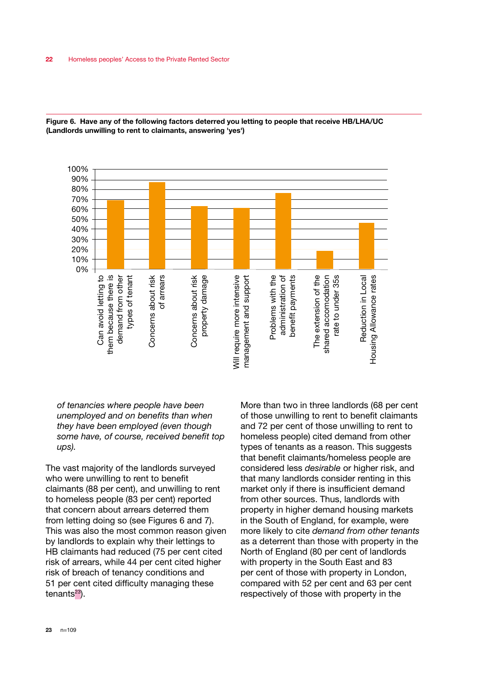

Figure 6. Have any of the following factors deterred you letting to people that receive HB/LHA/UC (Landlords unwilling to rent to claimants, answering 'yes')

## *of tenancies where people have been unemployed and on benefits than when they have been employed (even though some have, of course, received benefit top ups).*

The vast majority of the landlords surveyed who were unwilling to rent to benefit claimants (88 per cent), and unwilling to rent to homeless people (83 per cent) reported that concern about arrears deterred them from letting doing so (see Figures 6 and 7). This was also the most common reason given by landlords to explain why their lettings to HB claimants had reduced (75 per cent cited risk of arrears, while 44 per cent cited higher risk of breach of tenancy conditions and 51 per cent cited difficulty managing these tenants $23$ ).

More than two in three landlords (68 per cent of those unwilling to rent to benefit claimants and 72 per cent of those unwilling to rent to homeless people) cited demand from other types of tenants as a reason. This suggests that benefit claimants/homeless people are considered less *desirable* or higher risk, and that many landlords consider renting in this market only if there is insufficient demand from other sources. Thus, landlords with property in higher demand housing markets in the South of England, for example, were more likely to cite *demand from other tenants* as a deterrent than those with property in the North of England (80 per cent of landlords with property in the South East and 83 per cent of those with property in London, compared with 52 per cent and 63 per cent respectively of those with property in the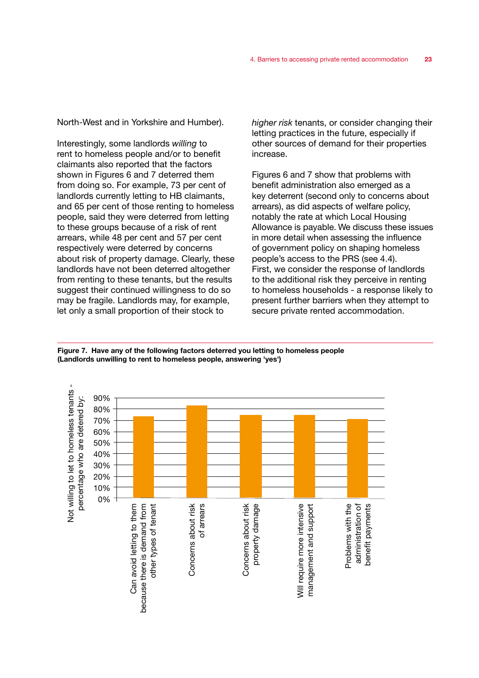North-West and in Yorkshire and Humber).

Interestingly, some landlords *willing* to rent to homeless people and/or to benefit claimants also reported that the factors shown in Figures 6 and 7 deterred them from doing so. For example, 73 per cent of landlords currently letting to HB claimants, and 65 per cent of those renting to homeless people, said they were deterred from letting to these groups because of a risk of rent arrears, while 48 per cent and 57 per cent respectively were deterred by concerns about risk of property damage. Clearly, these landlords have not been deterred altogether from renting to these tenants, but the results suggest their continued willingness to do so may be fragile. Landlords may, for example, let only a small proportion of their stock to

*higher risk* tenants, or consider changing their letting practices in the future, especially if other sources of demand for their properties increase.

Figures 6 and 7 show that problems with benefit administration also emerged as a key deterrent (second only to concerns about arrears), as did aspects of welfare policy, notably the rate at which Local Housing Allowance is payable. We discuss these issues in more detail when assessing the influence of government policy on shaping homeless people's access to the PRS (see 4.4). First, we consider the response of landlords to the additional risk they perceive in renting to homeless households - a response likely to present further barriers when they attempt to secure private rented accommodation.



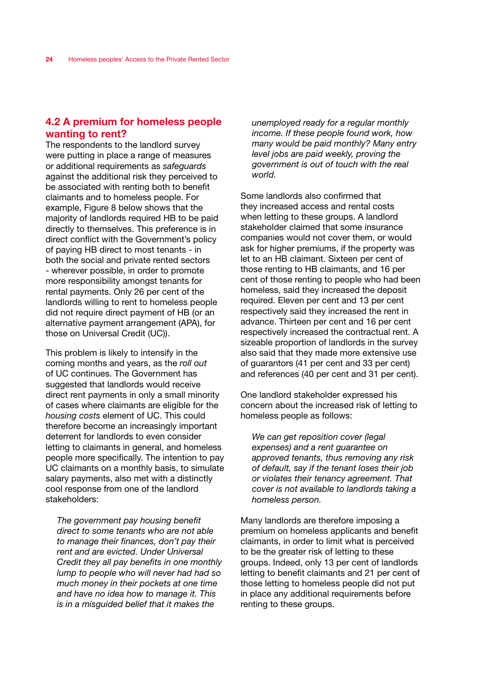# 4.2 A premium for homeless people wanting to rent?

The respondents to the landlord survey were putting in place a range of measures or additional requirements as *safeguards* against the additional risk they perceived to be associated with renting both to benefit claimants and to homeless people. For example, Figure 8 below shows that the majority of landlords required HB to be paid directly to themselves. This preference is in direct conflict with the Government's policy of paying HB direct to most tenants - in both the social and private rented sectors - wherever possible, in order to promote more responsibility amongst tenants for rental payments. Only 26 per cent of the landlords willing to rent to homeless people did not require direct payment of HB (or an alternative payment arrangement (APA), for those on Universal Credit (UC)).

This problem is likely to intensify in the coming months and years, as the *roll out* of UC continues. The Government has suggested that landlords would receive direct rent payments in only a small minority of cases where claimants are eligible for the *housing costs* element of UC. This could therefore become an increasingly important deterrent for landlords to even consider letting to claimants in general, and homeless people more specifically. The intention to pay UC claimants on a monthly basis, to simulate salary payments, also met with a distinctly cool response from one of the landlord stakeholders:

*The government pay housing benefit direct to some tenants who are not able to manage their finances, don't pay their rent and are evicted. Under Universal Credit they all pay benefits in one monthly lump to people who will never had had so much money in their pockets at one time and have no idea how to manage it. This is in a misguided belief that it makes the* 

*unemployed ready for a regular monthly income. If these people found work, how many would be paid monthly? Many entry level jobs are paid weekly, proving the government is out of touch with the real world.* 

Some landlords also confirmed that they increased access and rental costs when letting to these groups. A landlord stakeholder claimed that some insurance companies would not cover them, or would ask for higher premiums, if the property was let to an HB claimant. Sixteen per cent of those renting to HB claimants, and 16 per cent of those renting to people who had been homeless, said they increased the deposit required. Eleven per cent and 13 per cent respectively said they increased the rent in advance. Thirteen per cent and 16 per cent respectively increased the contractual rent. A sizeable proportion of landlords in the survey also said that they made more extensive use of guarantors (41 per cent and 33 per cent) and references (40 per cent and 31 per cent).

One landlord stakeholder expressed his concern about the increased risk of letting to homeless people as follows:

*We can get reposition cover (legal expenses) and a rent guarantee on approved tenants, thus removing any risk of default, say if the tenant loses their job or violates their tenancy agreement. That cover is not available to landlords taking a homeless person.* 

Many landlords are therefore imposing a premium on homeless applicants and benefit claimants, in order to limit what is perceived to be the greater risk of letting to these groups. Indeed, only 13 per cent of landlords letting to benefit claimants and 21 per cent of those letting to homeless people did not put in place any additional requirements before renting to these groups.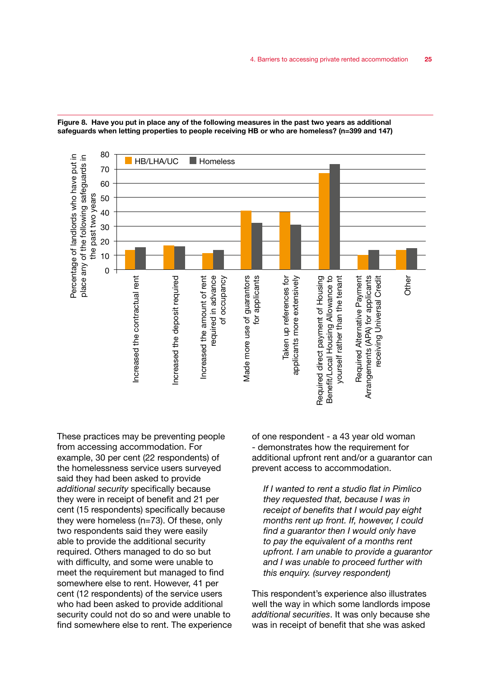



These practices may be preventing people from accessing accommodation. For example, 30 per cent (22 respondents) of the homelessness service users surveyed said they had been asked to provide *additional security* specifically because they were in receipt of benefit and 21 per cent (15 respondents) specifically because they were homeless (n=73). Of these, only two respondents said they were easily able to provide the additional security required. Others managed to do so but with difficulty, and some were unable to meet the requirement but managed to find somewhere else to rent. However, 41 per cent (12 respondents) of the service users who had been asked to provide additional security could not do so and were unable to find somewhere else to rent. The experience of one respondent - a 43 year old woman - demonstrates how the requirement for additional upfront rent and/or a guarantor can prevent access to accommodation.

*If I wanted to rent a studio flat in Pimlico they requested that, because I was in receipt of benefits that I would pay eight months rent up front. If, however, I could find a guarantor then I would only have to pay the equivalent of a months rent upfront. I am unable to provide a guarantor and I was unable to proceed further with this enquiry. (survey respondent)*

This respondent's experience also illustrates well the way in which some landlords impose *additional securities*. It was only because she was in receipt of benefit that she was asked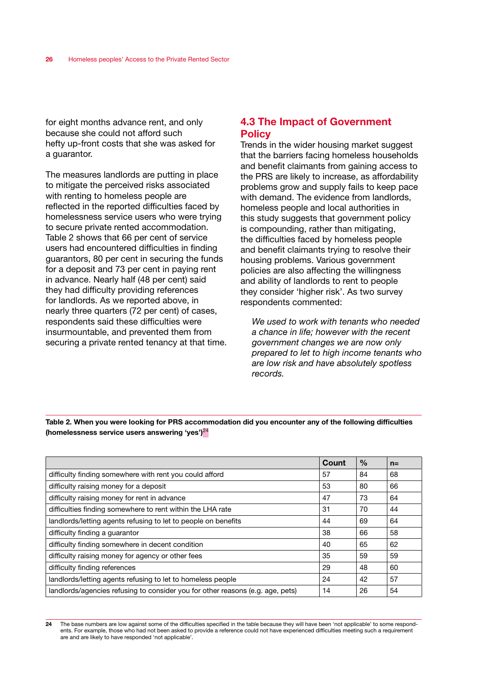for eight months advance rent, and only because she could not afford such hefty up-front costs that she was asked for a guarantor.

The measures landlords are putting in place to mitigate the perceived risks associated with renting to homeless people are reflected in the reported difficulties faced by homelessness service users who were trying to secure private rented accommodation. Table 2 shows that 66 per cent of service users had encountered difficulties in finding guarantors, 80 per cent in securing the funds for a deposit and 73 per cent in paying rent in advance. Nearly half (48 per cent) said they had difficulty providing references for landlords. As we reported above, in nearly three quarters (72 per cent) of cases, respondents said these difficulties were insurmountable, and prevented them from securing a private rented tenancy at that time.

# 4.3 The Impact of Government **Policy**

Trends in the wider housing market suggest that the barriers facing homeless households and benefit claimants from gaining access to the PRS are likely to increase, as affordability problems grow and supply fails to keep pace with demand. The evidence from landlords, homeless people and local authorities in this study suggests that government policy is compounding, rather than mitigating, the difficulties faced by homeless people and benefit claimants trying to resolve their housing problems. Various government policies are also affecting the willingness and ability of landlords to rent to people they consider 'higher risk'. As two survey respondents commented:

*We used to work with tenants who needed a chance in life; however with the recent government changes we are now only prepared to let to high income tenants who are low risk and have absolutely spotless records.*

Table 2. When you were looking for PRS accommodation did you encounter any of the following difficulties (homelessness service users answering 'yes') $^{24}$ 

|                                                                                | Count | $\%$ | $n =$ |
|--------------------------------------------------------------------------------|-------|------|-------|
| difficulty finding somewhere with rent you could afford                        | 57    | 84   | 68    |
| difficulty raising money for a deposit                                         | 53    | 80   | 66    |
| difficulty raising money for rent in advance                                   | 47    | 73   | 64    |
| difficulties finding somewhere to rent within the LHA rate                     | 31    | 70   | 44    |
| landlords/letting agents refusing to let to people on benefits                 | 44    | 69   | 64    |
| difficulty finding a guarantor                                                 | 38    | 66   | 58    |
| difficulty finding somewhere in decent condition                               | 40    | 65   | 62    |
| difficulty raising money for agency or other fees                              | 35    | 59   | 59    |
| difficulty finding references                                                  | 29    | 48   | 60    |
| landlords/letting agents refusing to let to homeless people                    | 24    | 42   | 57    |
| landlords/agencies refusing to consider you for other reasons (e.g. age, pets) | 14    | 26   | 54    |

<sup>24</sup> The base numbers are low against some of the difficulties specified in the table because they will have been 'not applicable' to some respondents. For example, those who had not been asked to provide a reference could not have experienced difficulties meeting such a requirement are and are likely to have responded 'not applicable'.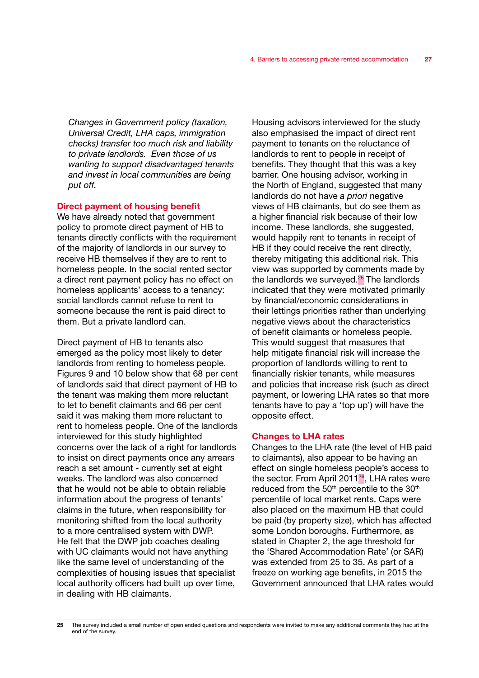*Changes in Government policy (taxation, Universal Credit, LHA caps, immigration checks) transfer too much risk and liability to private landlords. Even those of us wanting to support disadvantaged tenants and invest in local communities are being put off.*

### Direct payment of housing benefit

We have already noted that government policy to promote direct payment of HB to tenants directly conflicts with the requirement of the majority of landlords in our survey to receive HB themselves if they are to rent to homeless people. In the social rented sector a direct rent payment policy has no effect on homeless applicants' access to a tenancy: social landlords cannot refuse to rent to someone because the rent is paid direct to them. But a private landlord can.

Direct payment of HB to tenants also emerged as the policy most likely to deter landlords from renting to homeless people. Figures 9 and 10 below show that 68 per cent of landlords said that direct payment of HB to the tenant was making them more reluctant to let to benefit claimants and 66 per cent said it was making them more reluctant to rent to homeless people. One of the landlords interviewed for this study highlighted concerns over the lack of a right for landlords to insist on direct payments once any arrears reach a set amount - currently set at eight weeks. The landlord was also concerned that he would not be able to obtain reliable information about the progress of tenants' claims in the future, when responsibility for monitoring shifted from the local authority to a more centralised system with DWP. He felt that the DWP job coaches dealing with UC claimants would not have anything like the same level of understanding of the complexities of housing issues that specialist local authority officers had built up over time, in dealing with HB claimants.

Housing advisors interviewed for the study also emphasised the impact of direct rent payment to tenants on the reluctance of landlords to rent to people in receipt of benefits. They thought that this was a key barrier. One housing advisor, working in the North of England, suggested that many landlords do not have *a priori* negative views of HB claimants, but do see them as a higher financial risk because of their low income. These landlords, she suggested, would happily rent to tenants in receipt of HB if they could receive the rent directly, thereby mitigating this additional risk. This view was supported by comments made by the landlords we surveyed.<sup>25</sup> The landlords indicated that they were motivated primarily by financial/economic considerations in their lettings priorities rather than underlying negative views about the characteristics of benefit claimants or homeless people. This would suggest that measures that help mitigate financial risk will increase the proportion of landlords willing to rent to financially riskier tenants, while measures and policies that increase risk (such as direct payment, or lowering LHA rates so that more tenants have to pay a 'top up') will have the opposite effect.

#### Changes to LHA rates

Changes to the LHA rate (the level of HB paid to claimants), also appear to be having an effect on single homeless people's access to the sector. From April 2011<sup>26</sup>, LHA rates were reduced from the  $50<sup>th</sup>$  percentile to the  $30<sup>th</sup>$ percentile of local market rents. Caps were also placed on the maximum HB that could be paid (by property size), which has affected some London boroughs. Furthermore, as stated in Chapter 2, the age threshold for the 'Shared Accommodation Rate' (or SAR) was extended from 25 to 35. As part of a freeze on working age benefits, in 2015 the Government announced that LHA rates would

<sup>25</sup> The survey included a small number of open ended questions and respondents were invited to make any additional comments they had at the end of the survey.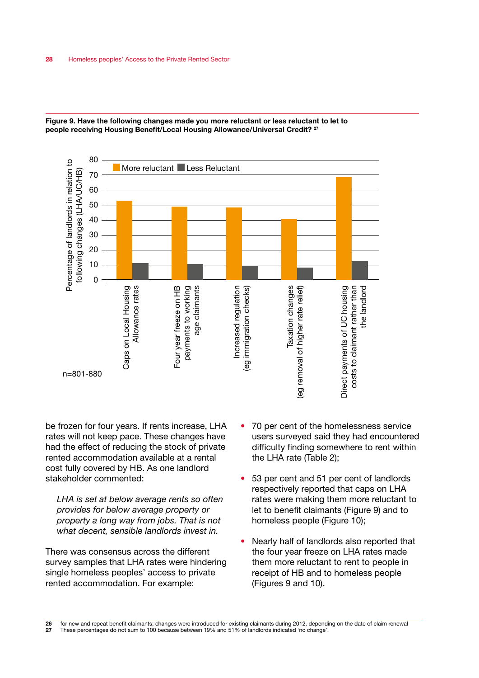

Figure 9. Have the following changes made you more reluctant or less reluctant to let to people receiving Housing Benefit/Local Housing Allowance/Universal Credit? <sup>27</sup>

be frozen for four years. If rents increase, LHA rates will not keep pace. These changes have had the effect of reducing the stock of private rented accommodation available at a rental cost fully covered by HB. As one landlord stakeholder commented:

*LHA is set at below average rents so often provides for below average property or property a long way from jobs. That is not what decent, sensible landlords invest in.*

There was consensus across the different survey samples that LHA rates were hindering single homeless peoples' access to private rented accommodation. For example:

- 70 per cent of the homelessness service users surveyed said they had encountered difficulty finding somewhere to rent within the LHA rate (Table 2);
- 53 per cent and 51 per cent of landlords respectively reported that caps on LHA rates were making them more reluctant to let to benefit claimants (Figure 9) and to homeless people (Figure 10);
- Nearly half of landlords also reported that the four year freeze on LHA rates made them more reluctant to rent to people in receipt of HB and to homeless people (Figures 9 and 10).

26 for new and repeat benefit claimants; changes were introduced for existing claimants during 2012, depending on the date of claim renewal<br>27 These percentages do not sum to 100 because between 19% and 51% of landlords in 27 These percentages do not sum to 100 because between 19% and 51% of landlords indicated 'no change'.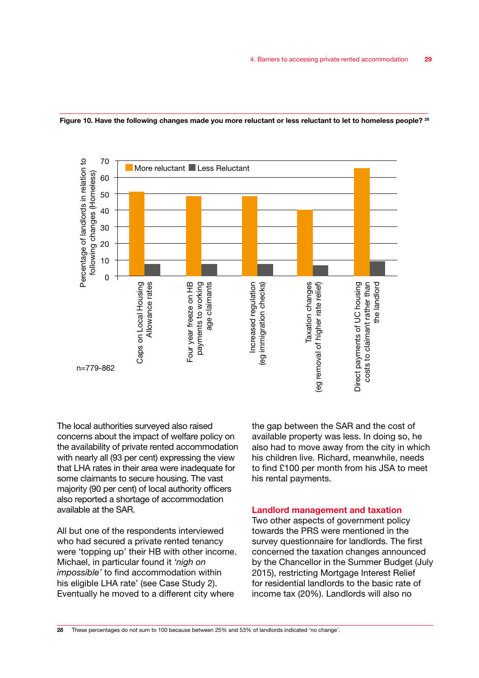



The local authorities surveyed also raised concerns about the impact of welfare policy on the availability of private rented accommodation with nearly all (93 per cent) expressing the view that LHA rates in their area were inadequate for some claimants to secure housing. The vast majority (90 per cent) of local authority officers also reported a shortage of accommodation available at the SAR.

All but one of the respondents interviewed who had secured a private rented tenancy were 'topping up' their HB with other income. Michael, in particular found it *'nigh on impossible'* to find accommodation within his eligible LHA rate' (see Case Study 2). Eventually he moved to a different city where

the gap between the SAR and the cost of available property was less. In doing so, he also had to move away from the city in which his children live. Richard, meanwhile, needs to find £100 per month from his JSA to meet his rental payments.

#### Landlord management and taxation

Two other aspects of government policy towards the PRS were mentioned in the survey questionnaire for landlords. The first concerned the taxation changes announced by the Chancellor in the Summer Budget (July 2015), restricting Mortgage Interest Relief for residential landlords to the basic rate of income tax (20%). Landlords will also no

28 These percentages do not sum to 100 because between 25% and 53% of landlords indicated 'no change'.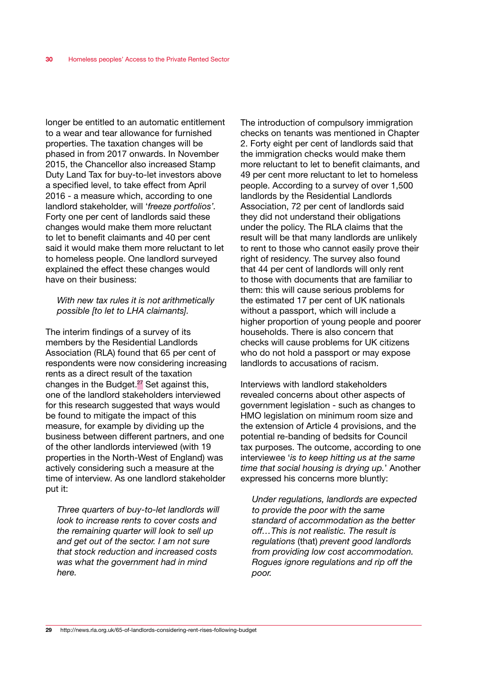longer be entitled to an automatic entitlement to a wear and tear allowance for furnished properties. The taxation changes will be phased in from 2017 onwards. In November 2015, the Chancellor also increased Stamp Duty Land Tax for buy-to-let investors above a specified level, to take effect from April 2016 - a measure which, according to one landlord stakeholder, will '*freeze portfolios'.* Forty one per cent of landlords said these changes would make them more reluctant to let to benefit claimants and 40 per cent said it would make them more reluctant to let to homeless people. One landlord surveyed explained the effect these changes would have on their business:

#### *With new tax rules it is not arithmetically possible [to let to LHA claimants].*

The interim findings of a survey of its members by the Residential Landlords Association (RLA) found that 65 per cent of respondents were now considering increasing rents as a direct result of the taxation changes in the Budget.27 Set against this, one of the landlord stakeholders interviewed for this research suggested that ways would be found to mitigate the impact of this measure, for example by dividing up the business between different partners, and one of the other landlords interviewed (with 19 properties in the North-West of England) was actively considering such a measure at the time of interview. As one landlord stakeholder put it:

*Three quarters of buy-to-let landlords will look to increase rents to cover costs and the remaining quarter will look to sell up and get out of the sector. I am not sure that stock reduction and increased costs was what the government had in mind here.*

The introduction of compulsory immigration checks on tenants was mentioned in Chapter 2. Forty eight per cent of landlords said that the immigration checks would make them more reluctant to let to benefit claimants, and 49 per cent more reluctant to let to homeless people. According to a survey of over 1,500 landlords by the Residential Landlords Association, 72 per cent of landlords said they did not understand their obligations under the policy. The RLA claims that the result will be that many landlords are unlikely to rent to those who cannot easily prove their right of residency. The survey also found that 44 per cent of landlords will only rent to those with documents that are familiar to them: this will cause serious problems for the estimated 17 per cent of UK nationals without a passport, which will include a higher proportion of young people and poorer households. There is also concern that checks will cause problems for UK citizens who do not hold a passport or may expose landlords to accusations of racism.

Interviews with landlord stakeholders revealed concerns about other aspects of government legislation - such as changes to HMO legislation on minimum room size and the extension of Article 4 provisions, and the potential re-banding of bedsits for Council tax purposes. The outcome, according to one interviewee '*is to keep hitting us at the same time that social housing is drying up.*' Another expressed his concerns more bluntly:

*Under regulations, landlords are expected to provide the poor with the same standard of accommodation as the better off…This is not realistic. The result is regulations* (that) *prevent good landlords from providing low cost accommodation. Rogues ignore regulations and rip off the poor.*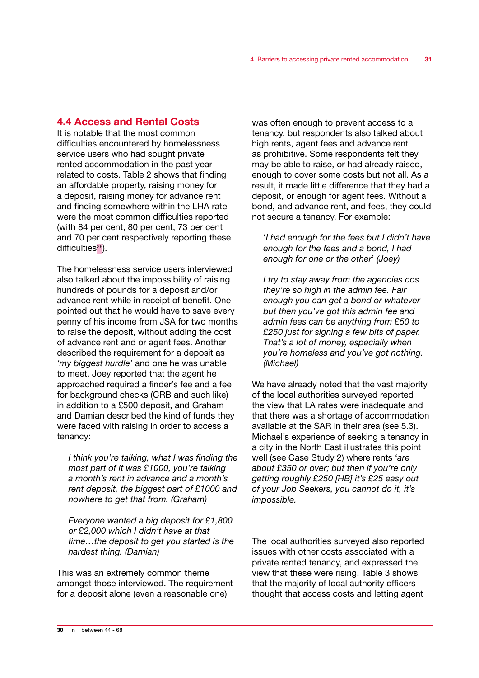# 4.4 Access and Rental Costs

It is notable that the most common difficulties encountered by homelessness service users who had sought private rented accommodation in the past year related to costs. Table 2 shows that finding an affordable property, raising money for a deposit, raising money for advance rent and finding somewhere within the LHA rate were the most common difficulties reported (with 84 per cent, 80 per cent, 73 per cent and 70 per cent respectively reporting these difficulties $28$ ).

The homelessness service users interviewed also talked about the impossibility of raising hundreds of pounds for a deposit and/or advance rent while in receipt of benefit. One pointed out that he would have to save every penny of his income from JSA for two months to raise the deposit, without adding the cost of advance rent and or agent fees. Another described the requirement for a deposit as *'my biggest hurdle'* and one he was unable to meet. Joey reported that the agent he approached required a finder's fee and a fee for background checks (CRB and such like) in addition to a £500 deposit, and Graham and Damian described the kind of funds they were faced with raising in order to access a tenancy:

*I think you're talking, what I was finding the most part of it was £1000, you're talking a month's rent in advance and a month's rent deposit, the biggest part of £1000 and nowhere to get that from. (Graham)*

*Everyone wanted a big deposit for £1,800 or £2,000 which I didn't have at that time…the deposit to get you started is the hardest thing. (Damian)*

This was an extremely common theme amongst those interviewed. The requirement for a deposit alone (even a reasonable one)

was often enough to prevent access to a tenancy, but respondents also talked about high rents, agent fees and advance rent as prohibitive. Some respondents felt they may be able to raise, or had already raised, enough to cover some costs but not all. As a result, it made little difference that they had a deposit, or enough for agent fees. Without a bond, and advance rent, and fees, they could not secure a tenancy. For example:

'*I had enough for the fees but I didn't have enough for the fees and a bond, I had enough for one or the other*' *(Joey)*

*I try to stay away from the agencies cos they're so high in the admin fee. Fair enough you can get a bond or whatever but then you've got this admin fee and admin fees can be anything from £50 to £250 just for signing a few bits of paper. That's a lot of money, especially when you're homeless and you've got nothing. (Michael)*

We have already noted that the vast majority of the local authorities surveyed reported the view that LA rates were inadequate and that there was a shortage of accommodation available at the SAR in their area (see 5.3). Michael's experience of seeking a tenancy in a city in the North East illustrates this point well (see Case Study 2) where rents '*are about £350 or over; but then if you're only getting roughly £250 [HB] it's £25 easy out of your Job Seekers, you cannot do it, it's impossible.* 

The local authorities surveyed also reported issues with other costs associated with a private rented tenancy, and expressed the view that these were rising. Table 3 shows that the majority of local authority officers thought that access costs and letting agent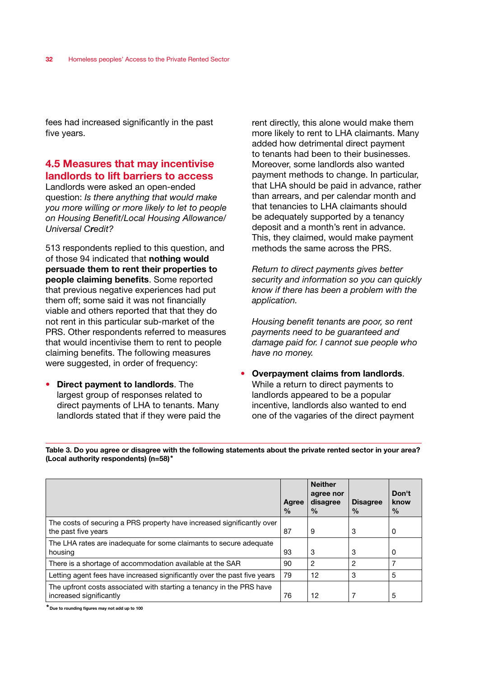fees had increased significantly in the past five years.

# 4.5 Measures that may incentivise landlords to lift barriers to access

Landlords were asked an open-ended question: *Is there anything that would make you more willing or more likely to let to people on Housing Benefit/Local Housing Allowance/ Universal Credit?*

513 respondents replied to this question, and of those 94 indicated that nothing would persuade them to rent their properties to people claiming benefits. Some reported that previous negative experiences had put them off; some said it was not financially viable and others reported that that they do not rent in this particular sub-market of the PRS. Other respondents referred to measures that would incentivise them to rent to people claiming benefits. The following measures were suggested, in order of frequency:

• Direct payment to landlords. The largest group of responses related to direct payments of LHA to tenants. Many landlords stated that if they were paid the rent directly, this alone would make them more likely to rent to LHA claimants. Many added how detrimental direct payment to tenants had been to their businesses. Moreover, some landlords also wanted payment methods to change. In particular, that LHA should be paid in advance, rather than arrears, and per calendar month and that tenancies to LHA claimants should be adequately supported by a tenancy deposit and a month's rent in advance. This, they claimed, would make payment methods the same across the PRS.

*Return to direct payments gives better security and information so you can quickly know if there has been a problem with the application.*

*Housing benefit tenants are poor, so rent payments need to be guaranteed and damage paid for. I cannot sue people who have no money.*

• Overpayment claims from landlords. While a return to direct payments to landlords appeared to be a popular incentive, landlords also wanted to end one of the vagaries of the direct payment

Table 3. Do you agree or disagree with the following statements about the private rented sector in your area? (Local authority respondents) (n=58)\*

|                                                                                                 | Agree<br>$\frac{0}{0}$ | <b>Neither</b><br>agree nor<br>disagree<br>$\frac{0}{0}$ | <b>Disagree</b><br>$\frac{0}{0}$ | Don't<br>know<br>$\frac{0}{0}$ |
|-------------------------------------------------------------------------------------------------|------------------------|----------------------------------------------------------|----------------------------------|--------------------------------|
| The costs of securing a PRS property have increased significantly over                          |                        |                                                          |                                  |                                |
| the past five years                                                                             | 87                     | 9                                                        | 3                                | 0                              |
| The LHA rates are inadeguate for some claimants to secure adeguate                              |                        |                                                          |                                  |                                |
| housing                                                                                         | 93                     | 3                                                        | 3                                | 0                              |
| There is a shortage of accommodation available at the SAR                                       | 90                     | $\overline{2}$                                           | 2                                |                                |
| Letting agent fees have increased significantly over the past five years                        | 79                     | 12                                                       | 3                                | 5                              |
| The upfront costs associated with starting a tenancy in the PRS have<br>increased significantly | 76                     | 12                                                       |                                  | 5                              |

\*Due to rounding figures may not add up to 100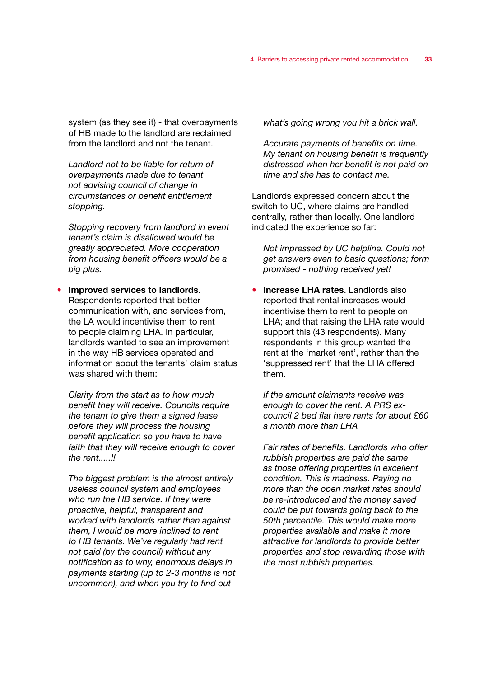system (as they see it) - that overpayments of HB made to the landlord are reclaimed from the landlord and not the tenant.

*Landlord not to be liable for return of overpayments made due to tenant not advising council of change in circumstances or benefit entitlement stopping.*

*Stopping recovery from landlord in event tenant's claim is disallowed would be greatly appreciated. More cooperation from housing benefit officers would be a big plus.*

## • Improved services to landlords. Respondents reported that better communication with, and services from, the LA would incentivise them to rent to people claiming LHA. In particular, landlords wanted to see an improvement in the way HB services operated and information about the tenants' claim status was shared with them:

*Clarity from the start as to how much benefit they will receive. Councils require the tenant to give them a signed lease before they will process the housing benefit application so you have to have faith that they will receive enough to cover the rent.....!!*

*The biggest problem is the almost entirely useless council system and employees who run the HB service. If they were proactive, helpful, transparent and worked with landlords rather than against them, I would be more inclined to rent to HB tenants. We've regularly had rent not paid (by the council) without any notification as to why, enormous delays in payments starting (up to 2-3 months is not uncommon), and when you try to find out* 

*what's going wrong you hit a brick wall.*

*Accurate payments of benefits on time. My tenant on housing benefit is frequently distressed when her benefit is not paid on time and she has to contact me.* 

Landlords expressed concern about the switch to UC, where claims are handled centrally, rather than locally. One landlord indicated the experience so far:

*Not impressed by UC helpline. Could not get answers even to basic questions; form promised - nothing received yet!*

• Increase LHA rates. Landlords also reported that rental increases would incentivise them to rent to people on LHA; and that raising the LHA rate would support this (43 respondents). Many respondents in this group wanted the rent at the 'market rent', rather than the 'suppressed rent' that the LHA offered them.

*If the amount claimants receive was enough to cover the rent. A PRS excouncil 2 bed flat here rents for about £60 a month more than LHA*

*Fair rates of benefits. Landlords who offer rubbish properties are paid the same as those offering properties in excellent condition. This is madness. Paying no more than the open market rates should be re-introduced and the money saved could be put towards going back to the 50th percentile. This would make more properties available and make it more attractive for landlords to provide better properties and stop rewarding those with the most rubbish properties.*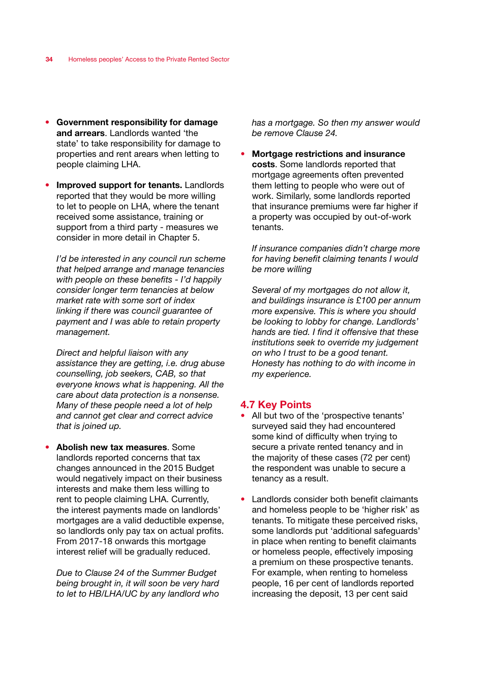- Government responsibility for damage and arrears. Landlords wanted 'the state' to take responsibility for damage to properties and rent arears when letting to people claiming LHA.
- Improved support for tenants. Landlords reported that they would be more willing to let to people on LHA, where the tenant received some assistance, training or support from a third party - measures we consider in more detail in Chapter 5.

*I'd be interested in any council run scheme that helped arrange and manage tenancies with people on these benefits - I'd happily consider longer term tenancies at below market rate with some sort of index linking if there was council guarantee of payment and I was able to retain property management.*

*Direct and helpful liaison with any assistance they are getting, i.e. drug abuse counselling, job seekers, CAB, so that everyone knows what is happening. All the care about data protection is a nonsense. Many of these people need a lot of help and cannot get clear and correct advice that is joined up.*

Abolish new tax measures. Some landlords reported concerns that tax changes announced in the 2015 Budget would negatively impact on their business interests and make them less willing to rent to people claiming LHA. Currently, the interest payments made on landlords' mortgages are a valid deductible expense, so landlords only pay tax on actual profits. From 2017-18 onwards this mortgage interest relief will be gradually reduced.

*Due to Clause 24 of the Summer Budget being brought in, it will soon be very hard to let to HB/LHA/UC by any landlord who* 

*has a mortgage. So then my answer would be remove Clause 24.*

• Mortgage restrictions and insurance costs. Some landlords reported that mortgage agreements often prevented them letting to people who were out of work. Similarly, some landlords reported that insurance premiums were far higher if a property was occupied by out-of-work tenants.

*If insurance companies didn't charge more for having benefit claiming tenants I would be more willing*

*Several of my mortgages do not allow it, and buildings insurance is £100 per annum more expensive. This is where you should be looking to lobby for change. Landlords' hands are tied. I find it offensive that these institutions seek to override my judgement on who I trust to be a good tenant. Honesty has nothing to do with income in my experience.*

## 4.7 Key Points

- All but two of the 'prospective tenants' surveyed said they had encountered some kind of difficulty when trying to secure a private rented tenancy and in the majority of these cases (72 per cent) the respondent was unable to secure a tenancy as a result.
- Landlords consider both benefit claimants and homeless people to be 'higher risk' as tenants. To mitigate these perceived risks, some landlords put 'additional safeguards' in place when renting to benefit claimants or homeless people, effectively imposing a premium on these prospective tenants. For example, when renting to homeless people, 16 per cent of landlords reported increasing the deposit, 13 per cent said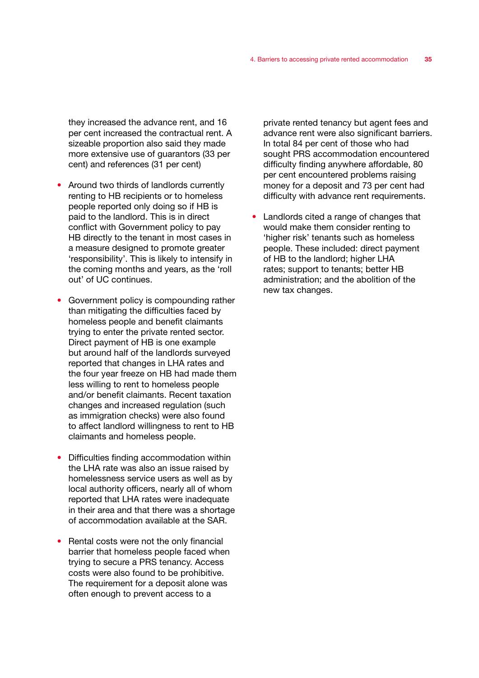they increased the advance rent, and 16 per cent increased the contractual rent. A sizeable proportion also said they made more extensive use of guarantors (33 per cent) and references (31 per cent)

- Around two thirds of landlords currently renting to HB recipients or to homeless people reported only doing so if HB is paid to the landlord. This is in direct conflict with Government policy to pay HB directly to the tenant in most cases in a measure designed to promote greater 'responsibility'. This is likely to intensify in the coming months and years, as the 'roll out' of UC continues.
- Government policy is compounding rather than mitigating the difficulties faced by homeless people and benefit claimants trying to enter the private rented sector. Direct payment of HB is one example but around half of the landlords surveyed reported that changes in LHA rates and the four year freeze on HB had made them less willing to rent to homeless people and/or benefit claimants. Recent taxation changes and increased regulation (such as immigration checks) were also found to affect landlord willingness to rent to HB claimants and homeless people.
- Difficulties finding accommodation within the LHA rate was also an issue raised by homelessness service users as well as by local authority officers, nearly all of whom reported that LHA rates were inadequate in their area and that there was a shortage of accommodation available at the SAR.
- Rental costs were not the only financial barrier that homeless people faced when trying to secure a PRS tenancy. Access costs were also found to be prohibitive. The requirement for a deposit alone was often enough to prevent access to a

private rented tenancy but agent fees and advance rent were also significant barriers. In total 84 per cent of those who had sought PRS accommodation encountered difficulty finding anywhere affordable, 80 per cent encountered problems raising money for a deposit and 73 per cent had difficulty with advance rent requirements.

• Landlords cited a range of changes that would make them consider renting to 'higher risk' tenants such as homeless people. These included: direct payment of HB to the landlord; higher LHA rates; support to tenants; better HB administration; and the abolition of the new tax changes.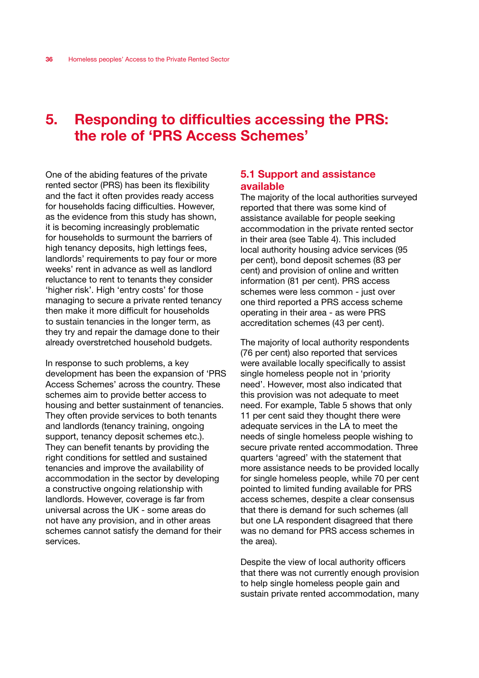# 5. Responding to difficulties accessing the PRS: the role of 'PRS Access Schemes'

One of the abiding features of the private rented sector (PRS) has been its flexibility and the fact it often provides ready access for households facing difficulties. However, as the evidence from this study has shown, it is becoming increasingly problematic for households to surmount the barriers of high tenancy deposits, high lettings fees, landlords' requirements to pay four or more weeks' rent in advance as well as landlord reluctance to rent to tenants they consider 'higher risk'. High 'entry costs' for those managing to secure a private rented tenancy then make it more difficult for households to sustain tenancies in the longer term, as they try and repair the damage done to their already overstretched household budgets.

In response to such problems, a key development has been the expansion of 'PRS Access Schemes' across the country. These schemes aim to provide better access to housing and better sustainment of tenancies. They often provide services to both tenants and landlords (tenancy training, ongoing support, tenancy deposit schemes etc.). They can benefit tenants by providing the right conditions for settled and sustained tenancies and improve the availability of accommodation in the sector by developing a constructive ongoing relationship with landlords. However, coverage is far from universal across the UK - some areas do not have any provision, and in other areas schemes cannot satisfy the demand for their services.

## 5.1 Support and assistance available

The majority of the local authorities surveyed reported that there was some kind of assistance available for people seeking accommodation in the private rented sector in their area (see Table 4). This included local authority housing advice services (95 per cent), bond deposit schemes (83 per cent) and provision of online and written information (81 per cent). PRS access schemes were less common - just over one third reported a PRS access scheme operating in their area - as were PRS accreditation schemes (43 per cent).

The majority of local authority respondents (76 per cent) also reported that services were available locally specifically to assist single homeless people not in 'priority need'. However, most also indicated that this provision was not adequate to meet need. For example, Table 5 shows that only 11 per cent said they thought there were adequate services in the LA to meet the needs of single homeless people wishing to secure private rented accommodation. Three quarters 'agreed' with the statement that more assistance needs to be provided locally for single homeless people, while 70 per cent pointed to limited funding available for PRS access schemes, despite a clear consensus that there is demand for such schemes (all but one LA respondent disagreed that there was no demand for PRS access schemes in the area).

Despite the view of local authority officers that there was not currently enough provision to help single homeless people gain and sustain private rented accommodation, many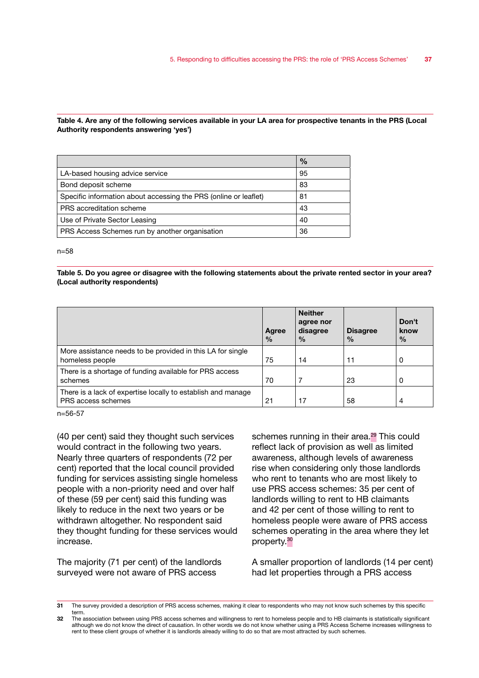#### Table 4. Are any of the following services available in your LA area for prospective tenants in the PRS (Local Authority respondents answering 'yes')

|                                                                  | $\%$ |
|------------------------------------------------------------------|------|
| LA-based housing advice service                                  | 95   |
| Bond deposit scheme                                              | 83   |
| Specific information about accessing the PRS (online or leaflet) | 81   |
| PRS accreditation scheme                                         | 43   |
| Use of Private Sector Leasing                                    | 40   |
| PRS Access Schemes run by another organisation                   | 36   |

n=58

Table 5. Do you agree or disagree with the following statements about the private rented sector in your area? (Local authority respondents)

|                                                                                    | Agree<br>$\frac{0}{0}$ | <b>Neither</b><br>agree nor<br>disagree<br>$\frac{0}{0}$ | <b>Disagree</b><br>$\%$ | Don't<br>know<br>$\frac{0}{0}$ |
|------------------------------------------------------------------------------------|------------------------|----------------------------------------------------------|-------------------------|--------------------------------|
| More assistance needs to be provided in this LA for single<br>homeless people      | 75                     | 14                                                       | 11                      | 0                              |
| There is a shortage of funding available for PRS access<br>schemes                 | 70                     | 7                                                        | 23                      | 0                              |
| There is a lack of expertise locally to establish and manage<br>PRS access schemes | 21                     | 17                                                       | 58                      | 4                              |

n=56-57

(40 per cent) said they thought such services would contract in the following two years. Nearly three quarters of respondents (72 per cent) reported that the local council provided funding for services assisting single homeless people with a non-priority need and over half of these (59 per cent) said this funding was likely to reduce in the next two years or be withdrawn altogether. No respondent said they thought funding for these services would increase.

The majority (71 per cent) of the landlords surveyed were not aware of PRS access

schemes running in their area.<sup>29</sup> This could reflect lack of provision as well as limited awareness, although levels of awareness rise when considering only those landlords who rent to tenants who are most likely to use PRS access schemes: 35 per cent of landlords willing to rent to HB claimants and 42 per cent of those willing to rent to homeless people were aware of PRS access schemes operating in the area where they let property.<sup>30</sup>

A smaller proportion of landlords (14 per cent) had let properties through a PRS access

<sup>31</sup> The survey provided a description of PRS access schemes, making it clear to respondents who may not know such schemes by this specific term.

<sup>32</sup> The association between using PRS access schemes and willingness to rent to homeless people and to HB claimants is statistically significant although we do not know the direct of causation. In other words we do not know whether using a PRS Access Scheme increases willingness to rent to these client groups of whether it is landlords already willing to do so that are most attracted by such schemes.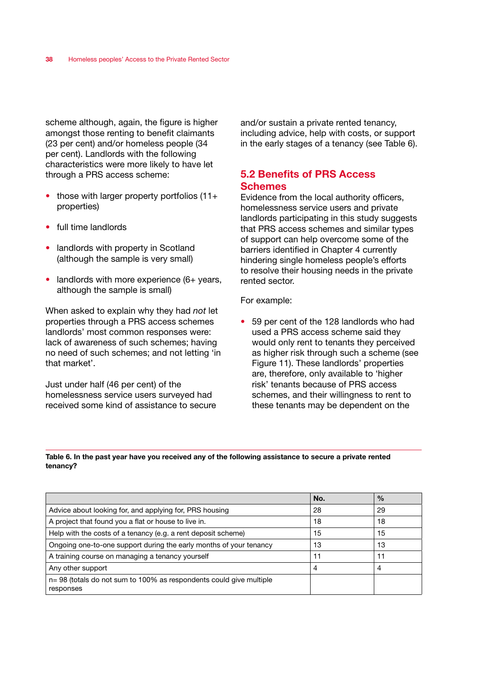scheme although, again, the figure is higher amongst those renting to benefit claimants (23 per cent) and/or homeless people (34 per cent). Landlords with the following characteristics were more likely to have let through a PRS access scheme:

- those with larger property portfolios (11+ properties)
- full time landlords
- landlords with property in Scotland (although the sample is very small)
- landlords with more experience (6+ years, although the sample is small)

When asked to explain why they had *not* let properties through a PRS access schemes landlords' most common responses were: lack of awareness of such schemes; having no need of such schemes; and not letting 'in that market'.

Just under half (46 per cent) of the homelessness service users surveyed had received some kind of assistance to secure

and/or sustain a private rented tenancy, including advice, help with costs, or support in the early stages of a tenancy (see Table 6).

# 5.2 Benefits of PRS Access **Schemes**

Evidence from the local authority officers, homelessness service users and private landlords participating in this study suggests that PRS access schemes and similar types of support can help overcome some of the barriers identified in Chapter 4 currently hindering single homeless people's efforts to resolve their housing needs in the private rented sector.

#### For example:

• 59 per cent of the 128 landlords who had used a PRS access scheme said they would only rent to tenants they perceived as higher risk through such a scheme (see Figure 11). These landlords' properties are, therefore, only available to 'higher risk' tenants because of PRS access schemes, and their willingness to rent to these tenants may be dependent on the

Table 6. In the past year have you received any of the following assistance to secure a private rented tenancy?

|                                                                                     | No. | $\frac{0}{0}$ |
|-------------------------------------------------------------------------------------|-----|---------------|
| Advice about looking for, and applying for, PRS housing                             | 28  | 29            |
| A project that found you a flat or house to live in.                                | 18  | 18            |
| Help with the costs of a tenancy (e.g. a rent deposit scheme)                       | 15  | 15            |
| Ongoing one-to-one support during the early months of your tenancy                  | 13  | 13            |
| A training course on managing a tenancy yourself                                    | 11  | 11            |
| Any other support                                                                   | 4   | 4             |
| $n = 98$ (totals do not sum to 100% as respondents could give multiple<br>responses |     |               |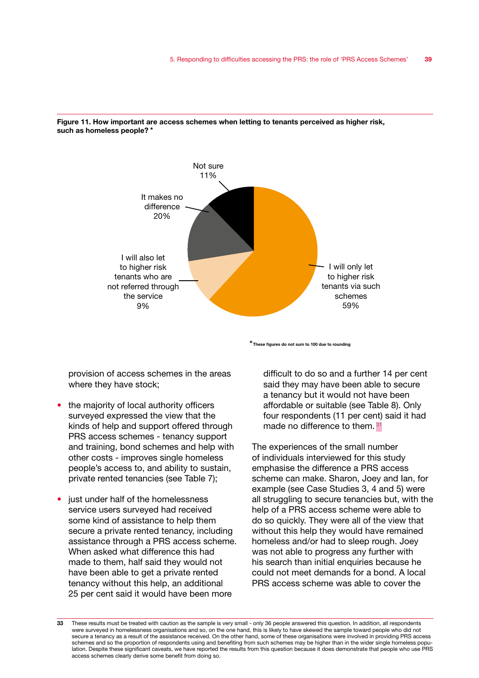

Figure 11. How important are access schemes when letting to tenants perceived as higher risk, such as homeless people? \*

\*These figures do not sum to 100 due to rounding

provision of access schemes in the areas where they have stock;

- the majority of local authority officers surveyed expressed the view that the kinds of help and support offered through PRS access schemes - tenancy support and training, bond schemes and help with other costs - improves single homeless people's access to, and ability to sustain, private rented tenancies (see Table 7);
- just under half of the homelessness service users surveyed had received some kind of assistance to help them secure a private rented tenancy, including assistance through a PRS access scheme. When asked what difference this had made to them, half said they would not have been able to get a private rented tenancy without this help, an additional 25 per cent said it would have been more

difficult to do so and a further 14 per cent said they may have been able to secure a tenancy but it would not have been affordable or suitable (see Table 8). Only four respondents (11 per cent) said it had made no difference to them. 31

The experiences of the small number of individuals interviewed for this study emphasise the difference a PRS access scheme can make. Sharon, Joey and Ian, for example (see Case Studies 3, 4 and 5) were all struggling to secure tenancies but, with the help of a PRS access scheme were able to do so quickly. They were all of the view that without this help they would have remained homeless and/or had to sleep rough. Joey was not able to progress any further with his search than initial enquiries because he could not meet demands for a bond. A local PRS access scheme was able to cover the

<sup>33</sup> These results must be treated with caution as the sample is very small - only 36 people answered this question. In addition, all respondents were surveyed in homelessness organisations and so, on the one hand, this is likely to have skewed the sample toward people who did not secure a tenancy as a result of the assistance received. On the other hand, some of these organisations were involved in providing PRS access schemes and so the proportion of respondents using and benefiting from such schemes may be higher than in the wider single homeless population. Despite these significant caveats, we have reported the results from this question because it does demonstrate that people who use PRS access schemes clearly derive some benefit from doing so.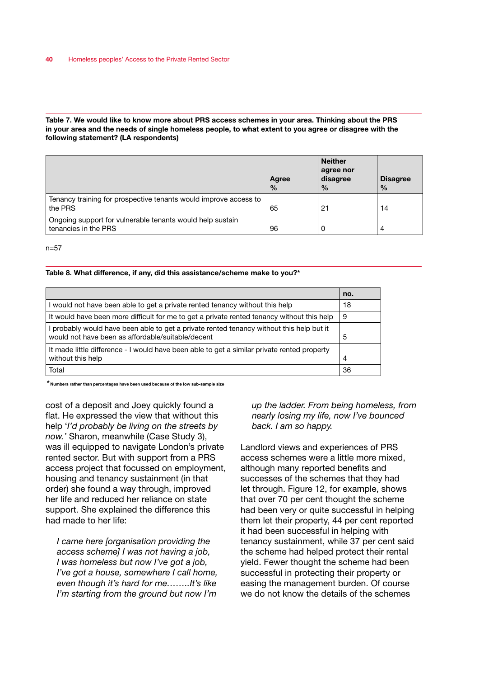#### Table 7. We would like to know more about PRS access schemes in your area. Thinking about the PRS in your area and the needs of single homeless people, to what extent to you agree or disagree with the following statement? (LA respondents)

|                                                                                   | Agree<br>$\frac{0}{0}$ | <b>Neither</b><br>agree nor<br>disagree<br>$\frac{0}{0}$ | <b>Disagree</b><br>$\frac{0}{0}$ |
|-----------------------------------------------------------------------------------|------------------------|----------------------------------------------------------|----------------------------------|
| Tenancy training for prospective tenants would improve access to<br>the PRS       | 65                     | 21                                                       | 14                               |
| Ongoing support for vulnerable tenants would help sustain<br>tenancies in the PRS | 96                     |                                                          | 4                                |

n=57

#### Table 8. What difference, if any, did this assistance/scheme make to you?\*

|                                                                                                                                               | no. |
|-----------------------------------------------------------------------------------------------------------------------------------------------|-----|
| I would not have been able to get a private rented tenancy without this help                                                                  | 18  |
| It would have been more difficult for me to get a private rented tenancy without this help                                                    | 9   |
| I probably would have been able to get a private rented tenancy without this help but it<br>would not have been as affordable/suitable/decent | 5   |
| It made little difference - I would have been able to get a similar private rented property<br>without this help                              | 4   |
| Total                                                                                                                                         | 36  |

\*Numbers rather than percentages have been used because of the low sub-sample size

cost of a deposit and Joey quickly found a flat. He expressed the view that without this help '*I'd probably be living on the streets by now.'* Sharon, meanwhile (Case Study 3), was ill equipped to navigate London's private rented sector. But with support from a PRS access project that focussed on employment, housing and tenancy sustainment (in that order) she found a way through, improved her life and reduced her reliance on state support. She explained the difference this had made to her life:

*I came here [organisation providing the access scheme] I was not having a job, I was homeless but now I've got a job, I've got a house, somewhere I call home, even though it's hard for me……..It's like I'm starting from the ground but now I'm* 

*up the ladder. From being homeless, from nearly losing my life, now I've bounced back. I am so happy.*

Landlord views and experiences of PRS access schemes were a little more mixed, although many reported benefits and successes of the schemes that they had let through. Figure 12, for example, shows that over 70 per cent thought the scheme had been very or quite successful in helping them let their property, 44 per cent reported it had been successful in helping with tenancy sustainment, while 37 per cent said the scheme had helped protect their rental yield. Fewer thought the scheme had been successful in protecting their property or easing the management burden. Of course we do not know the details of the schemes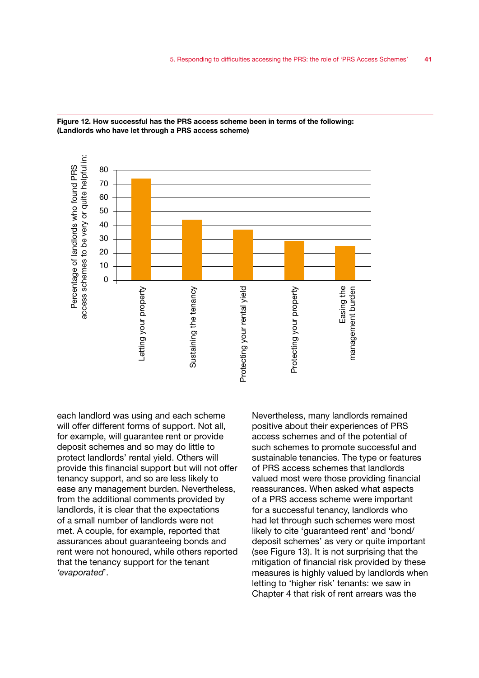



each landlord was using and each scheme will offer different forms of support. Not all, for example, will guarantee rent or provide deposit schemes and so may do little to protect landlords' rental yield. Others will provide this financial support but will not offer tenancy support, and so are less likely to ease any management burden. Nevertheless, from the additional comments provided by landlords, it is clear that the expectations of a small number of landlords were not met. A couple, for example, reported that assurances about guaranteeing bonds and rent were not honoured, while others reported that the tenancy support for the tenant *'evaporated*'.

Nevertheless, many landlords remained positive about their experiences of PRS access schemes and of the potential of such schemes to promote successful and sustainable tenancies. The type or features of PRS access schemes that landlords valued most were those providing financial reassurances. When asked what aspects of a PRS access scheme were important for a successful tenancy, landlords who had let through such schemes were most likely to cite 'guaranteed rent' and 'bond/ deposit schemes' as very or quite important (see Figure 13). It is not surprising that the mitigation of financial risk provided by these measures is highly valued by landlords when letting to 'higher risk' tenants: we saw in Chapter 4 that risk of rent arrears was the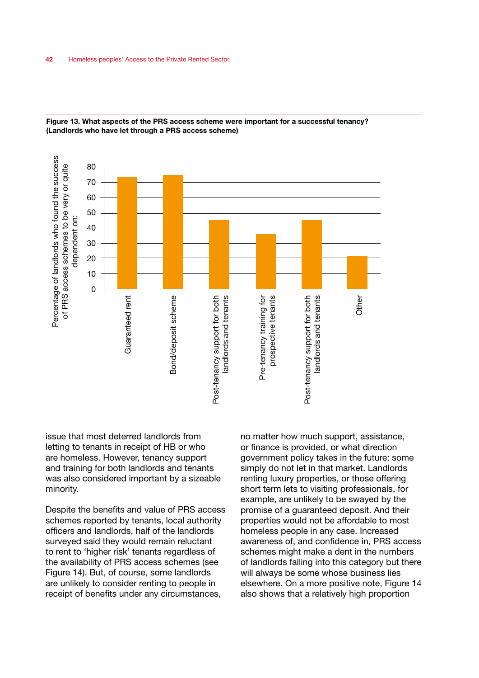

Figure 13. What aspects of the PRS access scheme were important for a successful tenancy? (Landlords who have let through a PRS access scheme)

issue that most deterred landlords from letting to tenants in receipt of HB or who are homeless. However, tenancy support and training for both landlords and tenants was also considered important by a sizeable minority.

Despite the benefits and value of PRS access schemes reported by tenants, local authority officers and landlords, half of the landlords surveyed said they would remain reluctant to rent to 'higher risk' tenants regardless of the availability of PRS access schemes (see Figure 14). But, of course, some landlords are unlikely to consider renting to people in receipt of benefits under any circumstances,

no matter how much support, assistance, or finance is provided, or what direction government policy takes in the future: some simply do not let in that market. Landlords renting luxury properties, or those offering short term lets to visiting professionals, for example, are unlikely to be swayed by the promise of a guaranteed deposit. And their properties would not be affordable to most homeless people in any case. Increased awareness of, and confidence in, PRS access schemes might make a dent in the numbers of landlords falling into this category but there will always be some whose business lies elsewhere. On a more positive note, Figure 14 also shows that a relatively high proportion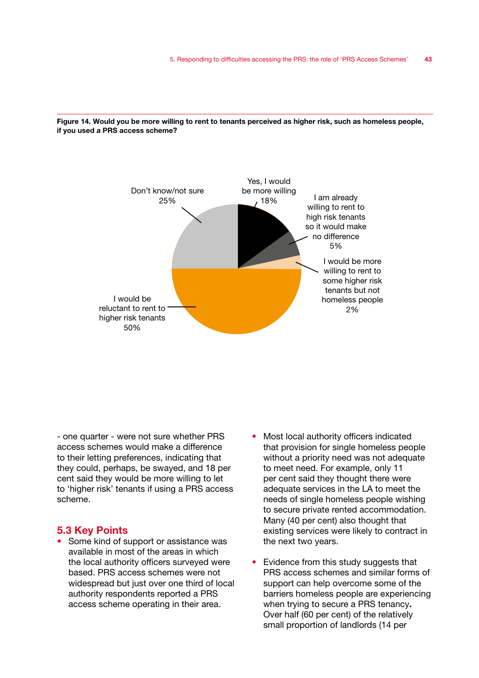



- one quarter - were not sure whether PRS access schemes would make a difference to their letting preferences, indicating that they could, perhaps, be swayed, and 18 per cent said they would be more willing to let to 'higher risk' tenants if using a PRS access scheme.

## 5.3 Key Points

- Some kind of support or assistance was available in most of the areas in which the local authority officers surveyed were based. PRS access schemes were not widespread but just over one third of local authority respondents reported a PRS access scheme operating in their area.
- Most local authority officers indicated that provision for single homeless people without a priority need was not adequate to meet need. For example, only 11 per cent said they thought there were adequate services in the LA to meet the needs of single homeless people wishing to secure private rented accommodation. Many (40 per cent) also thought that existing services were likely to contract in the next two years.
- Evidence from this study suggests that PRS access schemes and similar forms of support can help overcome some of the barriers homeless people are experiencing when trying to secure a PRS tenancy. Over half (60 per cent) of the relatively small proportion of landlords (14 per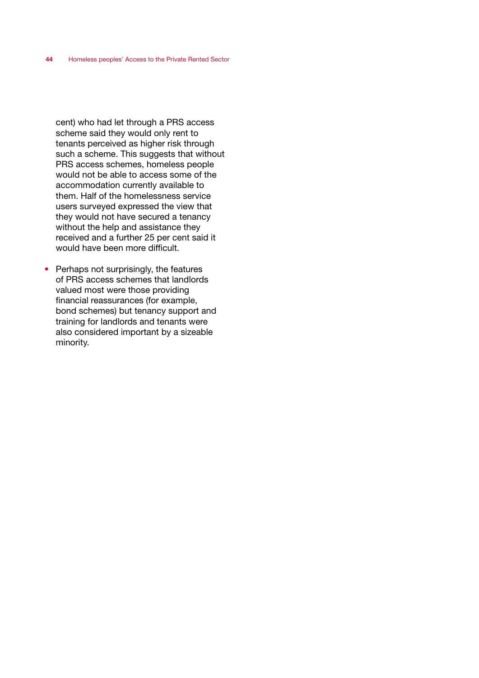cent) who had let through a PRS access scheme said they would only rent to tenants perceived as higher risk through such a scheme. This suggests that without PRS access schemes, homeless people would not be able to access some of the accommodation currently available to them. Half of the homelessness service users surveyed expressed the view that they would not have secured a tenancy without the help and assistance they received and a further 25 per cent said it would have been more difficult.

• Perhaps not surprisingly, the features of PRS access schemes that landlords valued most were those providing financial reassurances (for example, bond schemes) but tenancy support and training for landlords and tenants were also considered important by a sizeable minority.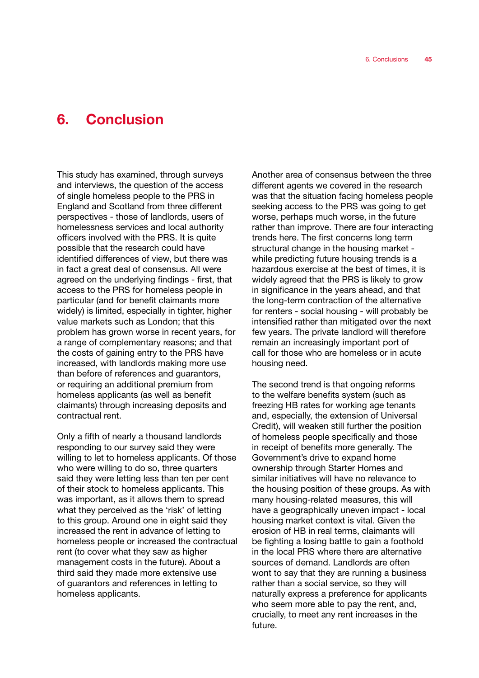# 6. Conclusion

This study has examined, through surveys and interviews, the question of the access of single homeless people to the PRS in England and Scotland from three different perspectives - those of landlords, users of homelessness services and local authority officers involved with the PRS. It is quite possible that the research could have identified differences of view, but there was in fact a great deal of consensus. All were agreed on the underlying findings - first, that access to the PRS for homeless people in particular (and for benefit claimants more widely) is limited, especially in tighter, higher value markets such as London; that this problem has grown worse in recent years, for a range of complementary reasons; and that the costs of gaining entry to the PRS have increased, with landlords making more use than before of references and guarantors, or requiring an additional premium from homeless applicants (as well as benefit claimants) through increasing deposits and contractual rent.

Only a fifth of nearly a thousand landlords responding to our survey said they were willing to let to homeless applicants. Of those who were willing to do so, three quarters said they were letting less than ten per cent of their stock to homeless applicants. This was important, as it allows them to spread what they perceived as the 'risk' of letting to this group. Around one in eight said they increased the rent in advance of letting to homeless people or increased the contractual rent (to cover what they saw as higher management costs in the future). About a third said they made more extensive use of guarantors and references in letting to homeless applicants.

Another area of consensus between the three different agents we covered in the research was that the situation facing homeless people seeking access to the PRS was going to get worse, perhaps much worse, in the future rather than improve. There are four interacting trends here. The first concerns long term structural change in the housing market while predicting future housing trends is a hazardous exercise at the best of times, it is widely agreed that the PRS is likely to grow in significance in the years ahead, and that the long-term contraction of the alternative for renters - social housing - will probably be intensified rather than mitigated over the next few years. The private landlord will therefore remain an increasingly important port of call for those who are homeless or in acute housing need.

The second trend is that ongoing reforms to the welfare benefits system (such as freezing HB rates for working age tenants and, especially, the extension of Universal Credit), will weaken still further the position of homeless people specifically and those in receipt of benefits more generally. The Government's drive to expand home ownership through Starter Homes and similar initiatives will have no relevance to the housing position of these groups. As with many housing-related measures, this will have a geographically uneven impact - local housing market context is vital. Given the erosion of HB in real terms, claimants will be fighting a losing battle to gain a foothold in the local PRS where there are alternative sources of demand. Landlords are often wont to say that they are running a business rather than a social service, so they will naturally express a preference for applicants who seem more able to pay the rent, and, crucially, to meet any rent increases in the future.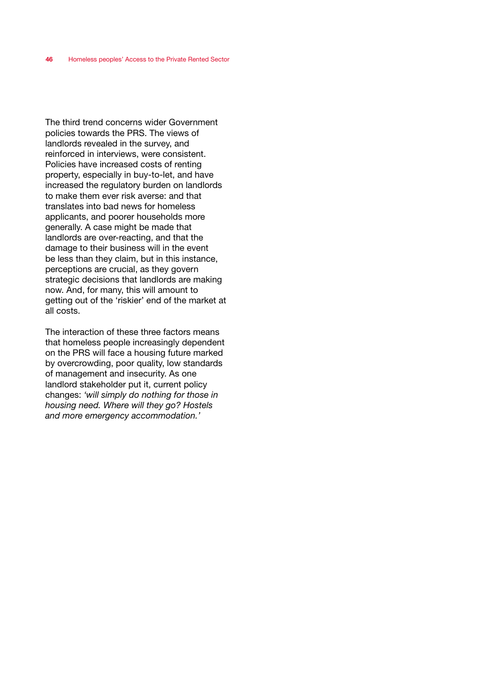The third trend concerns wider Government policies towards the PRS. The views of landlords revealed in the survey, and reinforced in interviews, were consistent. Policies have increased costs of renting property, especially in buy-to-let, and have increased the regulatory burden on landlords to make them ever risk averse: and that translates into bad news for homeless applicants, and poorer households more generally. A case might be made that landlords are over-reacting, and that the damage to their business will in the event be less than they claim, but in this instance, perceptions are crucial, as they govern strategic decisions that landlords are making now. And, for many, this will amount to getting out of the 'riskier' end of the market at all costs.

The interaction of these three factors means that homeless people increasingly dependent on the PRS will face a housing future marked by overcrowding, poor quality, low standards of management and insecurity. As one landlord stakeholder put it, current policy changes: *'will simply do nothing for those in housing need. Where will they go? Hostels and more emergency accommodation.'*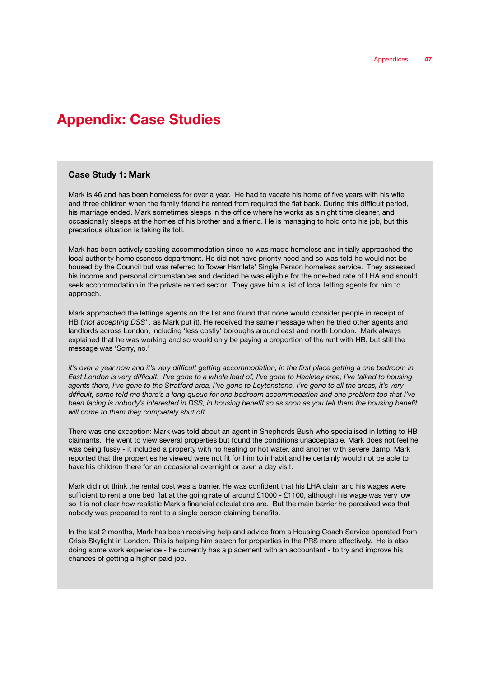# Appendix: Case Studies

## Case Study 1: Mark

Mark is 46 and has been homeless for over a year. He had to vacate his home of five years with his wife and three children when the family friend he rented from required the flat back. During this difficult period, his marriage ended. Mark sometimes sleeps in the office where he works as a night time cleaner, and occasionally sleeps at the homes of his brother and a friend. He is managing to hold onto his job, but this precarious situation is taking its toll.

Mark has been actively seeking accommodation since he was made homeless and initially approached the local authority homelessness department. He did not have priority need and so was told he would not be housed by the Council but was referred to Tower Hamlets' Single Person homeless service. They assessed his income and personal circumstances and decided he was eligible for the one-bed rate of LHA and should seek accommodation in the private rented sector. They gave him a list of local letting agents for him to approach.

Mark approached the lettings agents on the list and found that none would consider people in receipt of HB (*'not accepting DSS' ,* as Mark put it). He received the same message when he tried other agents and landlords across London, including 'less costly' boroughs around east and north London. Mark always explained that he was working and so would only be paying a proportion of the rent with HB, but still the message was 'Sorry, no.'

*it's over a year now and it's very difficult getting accommodation, in the first place getting a one bedroom in East London is very difficult. I've gone to a whole load of, I've gone to Hackney area, I've talked to housing agents there, I've gone to the Stratford area, I've gone to Leytonstone, I've gone to all the areas, it's very difficult, some told me there's a long queue for one bedroom accommodation and one problem too that I've*  been facing is nobody's interested in DSS, in housing benefit so as soon as you tell them the housing benefit *will come to them they completely shut off.*

There was one exception: Mark was told about an agent in Shepherds Bush who specialised in letting to HB claimants. He went to view several properties but found the conditions unacceptable. Mark does not feel he was being fussy - it included a property with no heating or hot water, and another with severe damp. Mark reported that the properties he viewed were not fit for him to inhabit and he certainly would not be able to have his children there for an occasional overnight or even a day visit.

Mark did not think the rental cost was a barrier. He was confident that his LHA claim and his wages were sufficient to rent a one bed flat at the going rate of around £1000 - £1100, although his wage was very low so it is not clear how realistic Mark's financial calculations are. But the main barrier he perceived was that nobody was prepared to rent to a single person claiming benefits.

In the last 2 months, Mark has been receiving help and advice from a Housing Coach Service operated from Crisis Skylight in London. This is helping him search for properties in the PRS more effectively. He is also doing some work experience - he currently has a placement with an accountant - to try and improve his chances of getting a higher paid job.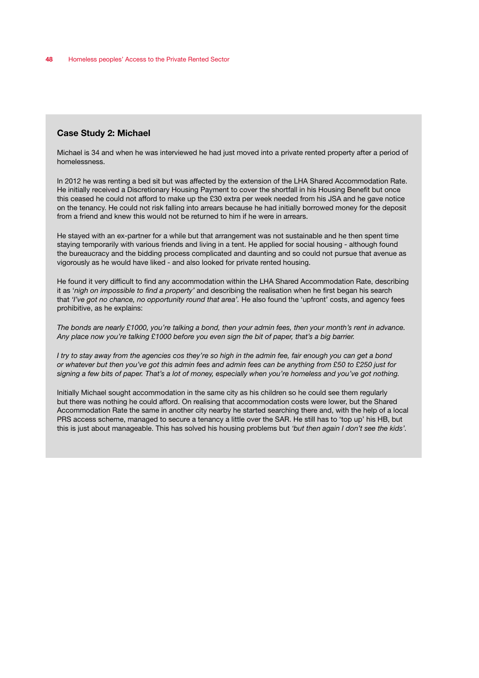#### Case Study 2: Michael

Michael is 34 and when he was interviewed he had just moved into a private rented property after a period of homelessness.

In 2012 he was renting a bed sit but was affected by the extension of the LHA Shared Accommodation Rate. He initially received a Discretionary Housing Payment to cover the shortfall in his Housing Benefit but once this ceased he could not afford to make up the £30 extra per week needed from his JSA and he gave notice on the tenancy. He could not risk falling into arrears because he had initially borrowed money for the deposit from a friend and knew this would not be returned to him if he were in arrears.

He stayed with an ex-partner for a while but that arrangement was not sustainable and he then spent time staying temporarily with various friends and living in a tent. He applied for social housing - although found the bureaucracy and the bidding process complicated and daunting and so could not pursue that avenue as vigorously as he would have liked - and also looked for private rented housing.

He found it very difficult to find any accommodation within the LHA Shared Accommodation Rate, describing it as '*nigh on impossible to find a property'* and describing the realisation when he first began his search that '*I've got no chance, no opportunity round that area'*. He also found the 'upfront' costs, and agency fees prohibitive, as he explains:

*The bonds are nearly £1000, you're talking a bond, then your admin fees, then your month's rent in advance. Any place now you're talking £1000 before you even sign the bit of paper, that's a big barrier.*

*I try to stay away from the agencies cos they're so high in the admin fee, fair enough you can get a bond or whatever but then you've got this admin fees and admin fees can be anything from £50 to £250 just for signing a few bits of paper. That's a lot of money, especially when you're homeless and you've got nothing.*

Initially Michael sought accommodation in the same city as his children so he could see them regularly but there was nothing he could afford. On realising that accommodation costs were lower, but the Shared Accommodation Rate the same in another city nearby he started searching there and, with the help of a local PRS access scheme, managed to secure a tenancy a little over the SAR. He still has to 'top up' his HB, but this is just about manageable. This has solved his housing problems but *'but then again I don't see the kids'.*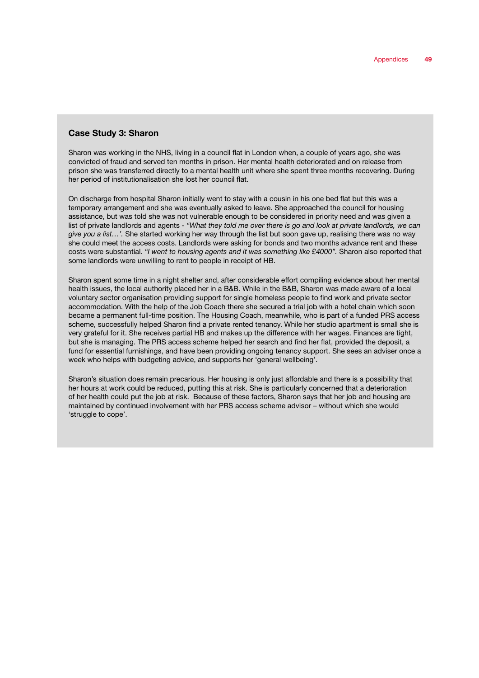#### Case Study 3: Sharon

Sharon was working in the NHS, living in a council flat in London when, a couple of years ago, she was convicted of fraud and served ten months in prison. Her mental health deteriorated and on release from prison she was transferred directly to a mental health unit where she spent three months recovering. During her period of institutionalisation she lost her council flat.

On discharge from hospital Sharon initially went to stay with a cousin in his one bed flat but this was a temporary arrangement and she was eventually asked to leave. She approached the council for housing assistance, but was told she was not vulnerable enough to be considered in priority need and was given a list of private landlords and agents - *"What they told me over there is go and look at private landlords, we can give you a list…'.* She started working her way through the list but soon gave up, realising there was no way she could meet the access costs. Landlords were asking for bonds and two months advance rent and these costs were substantial. *"I went to housing agents and it was something like £4000".* Sharon also reported that some landlords were unwilling to rent to people in receipt of HB.

Sharon spent some time in a night shelter and, after considerable effort compiling evidence about her mental health issues, the local authority placed her in a B&B. While in the B&B, Sharon was made aware of a local voluntary sector organisation providing support for single homeless people to find work and private sector accommodation. With the help of the Job Coach there she secured a trial job with a hotel chain which soon became a permanent full-time position. The Housing Coach, meanwhile, who is part of a funded PRS access scheme, successfully helped Sharon find a private rented tenancy. While her studio apartment is small she is very grateful for it. She receives partial HB and makes up the difference with her wages. Finances are tight, but she is managing. The PRS access scheme helped her search and find her flat, provided the deposit, a fund for essential furnishings, and have been providing ongoing tenancy support. She sees an adviser once a week who helps with budgeting advice, and supports her 'general wellbeing'.

Sharon's situation does remain precarious. Her housing is only just affordable and there is a possibility that her hours at work could be reduced, putting this at risk. She is particularly concerned that a deterioration of her health could put the job at risk. Because of these factors, Sharon says that her job and housing are maintained by continued involvement with her PRS access scheme advisor – without which she would 'struggle to cope'.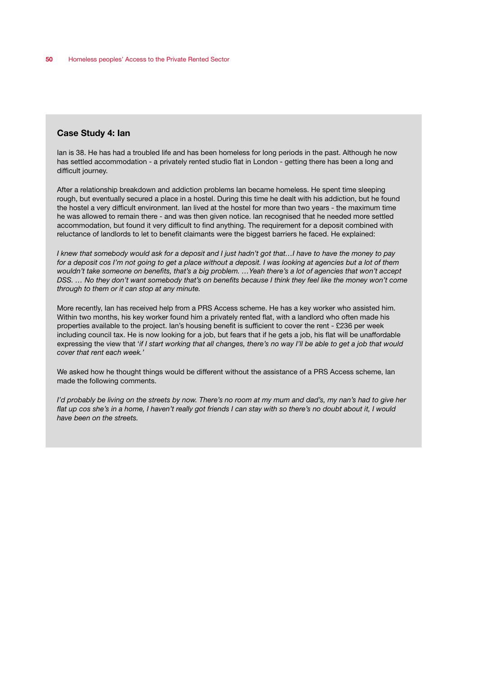#### Case Study 4: Ian

lan is 38. He has had a troubled life and has been homeless for long periods in the past. Although he now has settled accommodation - a privately rented studio flat in London - getting there has been a long and difficult journey.

After a relationship breakdown and addiction problems Ian became homeless. He spent time sleeping rough, but eventually secured a place in a hostel. During this time he dealt with his addiction, but he found the hostel a very difficult environment. Ian lived at the hostel for more than two years - the maximum time he was allowed to remain there - and was then given notice. Ian recognised that he needed more settled accommodation, but found it very difficult to find anything. The requirement for a deposit combined with reluctance of landlords to let to benefit claimants were the biggest barriers he faced. He explained:

*I knew that somebody would ask for a deposit and I just hadn't got that…I have to have the money to pay for a deposit cos I'm not going to get a place without a deposit. I was looking at agencies but a lot of them wouldn't take someone on benefits, that's a big problem. …Yeah there's a lot of agencies that won't accept DSS. … No they don't want somebody that's on benefits because I think they feel like the money won't come through to them or it can stop at any minute.*

More recently, Ian has received help from a PRS Access scheme. He has a key worker who assisted him. Within two months, his key worker found him a privately rented flat, with a landlord who often made his properties available to the project. Ian's housing benefit is sufficient to cover the rent - £236 per week including council tax. He is now looking for a job, but fears that if he gets a job, his flat will be unaffordable expressing the view that '*if I start working that all changes, there's no way I'll be able to get a job that would cover that rent each week.'*

We asked how he thought things would be different without the assistance of a PRS Access scheme, Ian made the following comments.

*I'd probably be living on the streets by now. There's no room at my mum and dad's, my nan's had to give her flat up cos she's in a home, I haven't really got friends I can stay with so there's no doubt about it, I would have been on the streets.*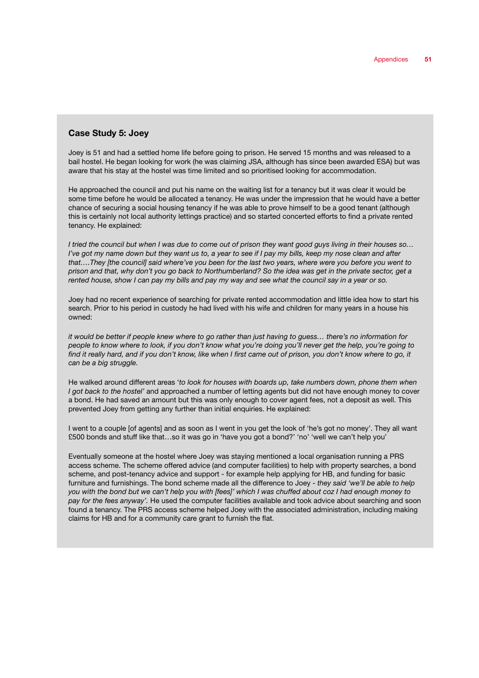#### Case Study 5: Joey

Joey is 51 and had a settled home life before going to prison. He served 15 months and was released to a bail hostel. He began looking for work (he was claiming JSA, although has since been awarded ESA) but was aware that his stay at the hostel was time limited and so prioritised looking for accommodation.

He approached the council and put his name on the waiting list for a tenancy but it was clear it would be some time before he would be allocated a tenancy. He was under the impression that he would have a better chance of securing a social housing tenancy if he was able to prove himself to be a good tenant (although this is certainly not local authority lettings practice) and so started concerted efforts to find a private rented tenancy. He explained:

*I tried the council but when I was due to come out of prison they want good guys living in their houses so… I've got my name down but they want us to, a year to see if I pay my bills, keep my nose clean and after that….They [the council] said where've you been for the last two years, where were you before you went to prison and that, why don't you go back to Northumberland? So the idea was get in the private sector, get a rented house, show I can pay my bills and pay my way and see what the council say in a year or so.*

Joey had no recent experience of searching for private rented accommodation and little idea how to start his search. Prior to his period in custody he had lived with his wife and children for many years in a house his owned:

*it would be better if people knew where to go rather than just having to guess… there's no information for people to know where to look, if you don't know what you're doing you'll never get the help, you're going to*  find it really hard, and if you don't know, like when I first came out of prison, you don't know where to go, it *can be a big struggle.*

He walked around different areas '*to look for houses with boards up, take numbers down, phone them when I got back to the hostel'* and approached a number of letting agents but did not have enough money to cover a bond. He had saved an amount but this was only enough to cover agent fees, not a deposit as well. This prevented Joey from getting any further than initial enquiries. He explained:

I went to a couple [of agents] and as soon as I went in you get the look of 'he's got no money'. They all want £500 bonds and stuff like that…so it was go in 'have you got a bond?' 'no' 'well we can't help you'

Eventually someone at the hostel where Joey was staying mentioned a local organisation running a PRS access scheme. The scheme offered advice (and computer facilities) to help with property searches, a bond scheme, and post-tenancy advice and support - for example help applying for HB, and funding for basic furniture and furnishings. The bond scheme made all the difference to Joey - *they said 'we'll be able to help you with the bond but we can't help you with [fees]' which I was chuffed about coz I had enough money to pay for the fees anyway'.* He used the computer facilities available and took advice about searching and soon found a tenancy. The PRS access scheme helped Joey with the associated administration, including making claims for HB and for a community care grant to furnish the flat.